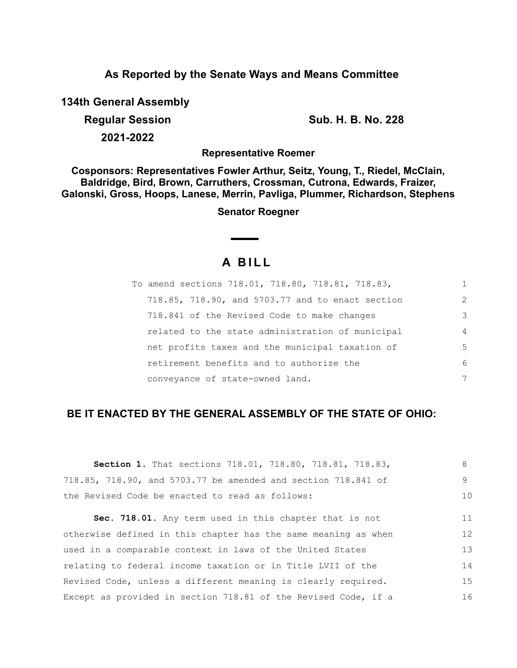# **As Reported by the Senate Ways and Means Committee**

**134th General Assembly**

**Regular Session Sub. H. B. No. 228 2021-2022**

**Representative Roemer**

**Cosponsors: Representatives Fowler Arthur, Seitz, Young, T., Riedel, McClain, Baldridge, Bird, Brown, Carruthers, Crossman, Cutrona, Edwards, Fraizer, Galonski, Gross, Hoops, Lanese, Merrin, Pavliga, Plummer, Richardson, Stephens**

**Senator Roegner**

# **A B I L L**

| To amend sections 718.01, 718.80, 718.81, 718.83, | 1             |
|---------------------------------------------------|---------------|
| 718.85, 718.90, and 5703.77 and to enact section  | $\mathcal{L}$ |
| 718.841 of the Revised Code to make changes       | 3             |
| related to the state administration of municipal  | 4             |
| net profits taxes and the municipal taxation of   | 5             |
| retirement benefits and to authorize the          | 6             |
| conveyance of state-owned land.                   | 7             |

# **BE IT ENACTED BY THE GENERAL ASSEMBLY OF THE STATE OF OHIO:**

| <b>Section 1.</b> That sections 718.01, 718.80, 718.81, 718.83, | 8  |
|-----------------------------------------------------------------|----|
| 718.85, 718.90, and 5703.77 be amended and section 718.841 of   | 9  |
| the Revised Code be enacted to read as follows:                 | 10 |
| Sec. 718.01. Any term used in this chapter that is not          | 11 |
| otherwise defined in this chapter has the same meaning as when  | 12 |
| used in a comparable context in laws of the United States       | 13 |
| relating to federal income taxation or in Title LVII of the     | 14 |
| Revised Code, unless a different meaning is clearly required.   | 15 |
| Except as provided in section 718.81 of the Revised Code, if a  | 16 |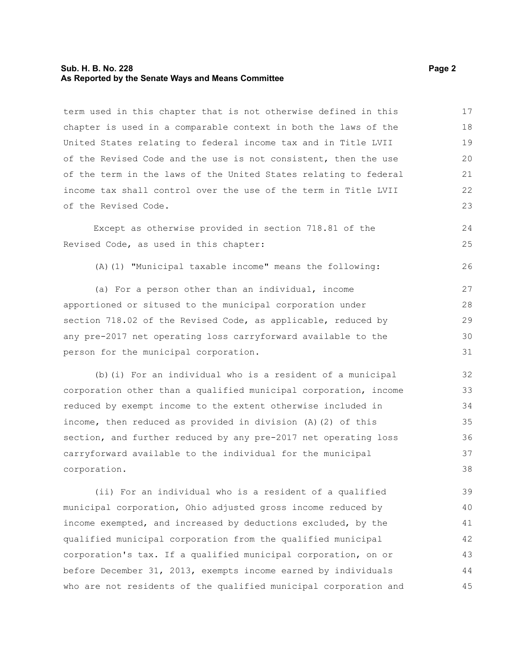#### **Sub. H. B. No. 228 Page 2 As Reported by the Senate Ways and Means Committee**

term used in this chapter that is not otherwise defined in this chapter is used in a comparable context in both the laws of the United States relating to federal income tax and in Title LVII of the Revised Code and the use is not consistent, then the use of the term in the laws of the United States relating to federal income tax shall control over the use of the term in Title LVII of the Revised Code. 17 18 19 20 21 22 23

Except as otherwise provided in section 718.81 of the Revised Code, as used in this chapter:

(A)(1) "Municipal taxable income" means the following:

(a) For a person other than an individual, income apportioned or sitused to the municipal corporation under section 718.02 of the Revised Code, as applicable, reduced by any pre-2017 net operating loss carryforward available to the person for the municipal corporation. 27 28 29 30 31

(b)(i) For an individual who is a resident of a municipal corporation other than a qualified municipal corporation, income reduced by exempt income to the extent otherwise included in income, then reduced as provided in division (A)(2) of this section, and further reduced by any pre-2017 net operating loss carryforward available to the individual for the municipal corporation. 32 33 34 35 36 37 38

(ii) For an individual who is a resident of a qualified municipal corporation, Ohio adjusted gross income reduced by income exempted, and increased by deductions excluded, by the qualified municipal corporation from the qualified municipal corporation's tax. If a qualified municipal corporation, on or before December 31, 2013, exempts income earned by individuals who are not residents of the qualified municipal corporation and 39 40 41 42 43 44 45

 $24$ 25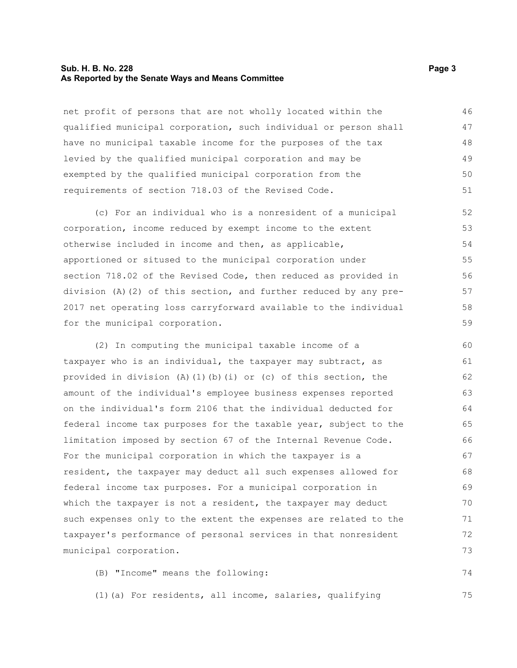#### **Sub. H. B. No. 228 Page 3 As Reported by the Senate Ways and Means Committee**

net profit of persons that are not wholly located within the qualified municipal corporation, such individual or person shall have no municipal taxable income for the purposes of the tax levied by the qualified municipal corporation and may be exempted by the qualified municipal corporation from the requirements of section 718.03 of the Revised Code. 46 47 48 49 50 51

(c) For an individual who is a nonresident of a municipal corporation, income reduced by exempt income to the extent otherwise included in income and then, as applicable, apportioned or sitused to the municipal corporation under section 718.02 of the Revised Code, then reduced as provided in division (A)(2) of this section, and further reduced by any pre-2017 net operating loss carryforward available to the individual for the municipal corporation.

(2) In computing the municipal taxable income of a taxpayer who is an individual, the taxpayer may subtract, as provided in division (A)(1)(b)(i) or (c) of this section, the amount of the individual's employee business expenses reported on the individual's form 2106 that the individual deducted for federal income tax purposes for the taxable year, subject to the limitation imposed by section 67 of the Internal Revenue Code. For the municipal corporation in which the taxpayer is a resident, the taxpayer may deduct all such expenses allowed for federal income tax purposes. For a municipal corporation in which the taxpayer is not a resident, the taxpayer may deduct such expenses only to the extent the expenses are related to the taxpayer's performance of personal services in that nonresident municipal corporation. 60 61 62 63 64 65 66 67 68 69 70 71 72 73

(B) "Income" means the following: 74

(1)(a) For residents, all income, salaries, qualifying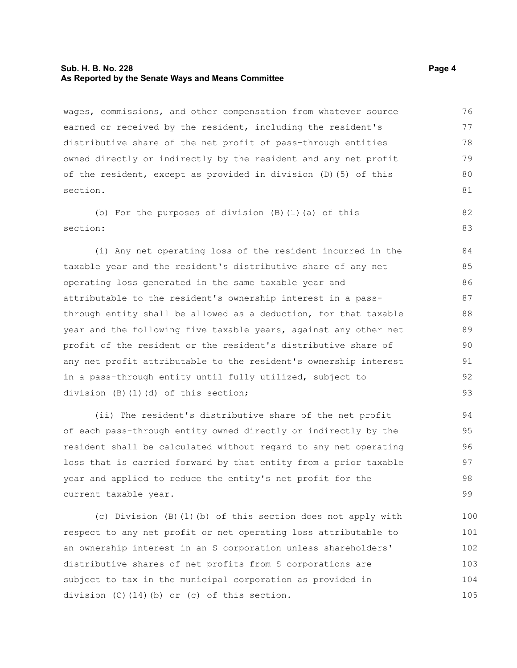#### **Sub. H. B. No. 228 Page 4 As Reported by the Senate Ways and Means Committee**

wages, commissions, and other compensation from whatever source earned or received by the resident, including the resident's distributive share of the net profit of pass-through entities owned directly or indirectly by the resident and any net profit of the resident, except as provided in division (D)(5) of this section. 76 77 78 79 80 81

(b) For the purposes of division (B)(1)(a) of this section: 82 83

(i) Any net operating loss of the resident incurred in the taxable year and the resident's distributive share of any net operating loss generated in the same taxable year and attributable to the resident's ownership interest in a passthrough entity shall be allowed as a deduction, for that taxable year and the following five taxable years, against any other net profit of the resident or the resident's distributive share of any net profit attributable to the resident's ownership interest in a pass-through entity until fully utilized, subject to division (B)(1)(d) of this section; 84 85 86 87 88 89 90 91 92 93

(ii) The resident's distributive share of the net profit of each pass-through entity owned directly or indirectly by the resident shall be calculated without regard to any net operating loss that is carried forward by that entity from a prior taxable year and applied to reduce the entity's net profit for the current taxable year.

(c) Division (B)(1)(b) of this section does not apply with respect to any net profit or net operating loss attributable to an ownership interest in an S corporation unless shareholders' distributive shares of net profits from S corporations are subject to tax in the municipal corporation as provided in division (C)(14)(b) or (c) of this section. 100 101 102 103 104 105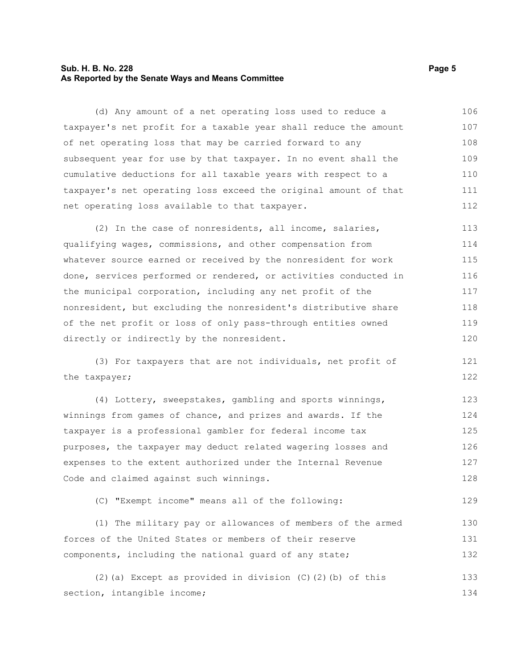#### **Sub. H. B. No. 228 Page 5 As Reported by the Senate Ways and Means Committee**

(d) Any amount of a net operating loss used to reduce a taxpayer's net profit for a taxable year shall reduce the amount of net operating loss that may be carried forward to any subsequent year for use by that taxpayer. In no event shall the cumulative deductions for all taxable years with respect to a taxpayer's net operating loss exceed the original amount of that net operating loss available to that taxpayer. 106 107 108 109 110 111 112

(2) In the case of nonresidents, all income, salaries, qualifying wages, commissions, and other compensation from whatever source earned or received by the nonresident for work done, services performed or rendered, or activities conducted in the municipal corporation, including any net profit of the nonresident, but excluding the nonresident's distributive share of the net profit or loss of only pass-through entities owned directly or indirectly by the nonresident. 113 114 115 116 117 118 119 120

(3) For taxpayers that are not individuals, net profit of the taxpayer; 121 122

(4) Lottery, sweepstakes, gambling and sports winnings, winnings from games of chance, and prizes and awards. If the taxpayer is a professional gambler for federal income tax purposes, the taxpayer may deduct related wagering losses and expenses to the extent authorized under the Internal Revenue Code and claimed against such winnings. 123 124 125 126 127 128

(C) "Exempt income" means all of the following:

(1) The military pay or allowances of members of the armed forces of the United States or members of their reserve components, including the national guard of any state; 130 131 132

(2)(a) Except as provided in division (C)(2)(b) of this section, intangible income; 133 134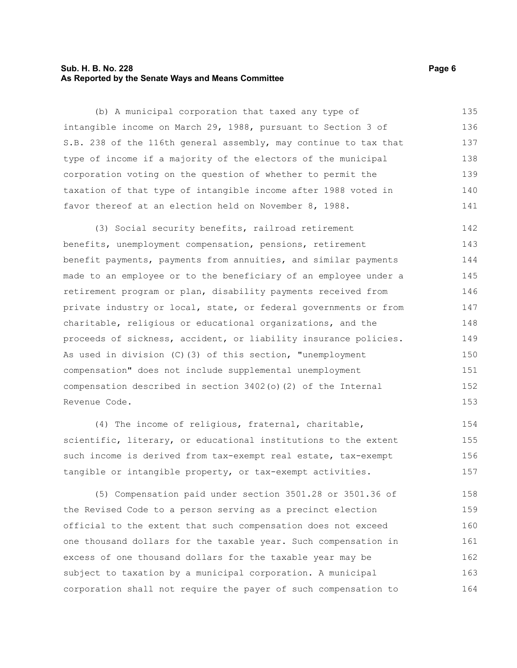#### **Sub. H. B. No. 228 Page 6 As Reported by the Senate Ways and Means Committee**

(b) A municipal corporation that taxed any type of intangible income on March 29, 1988, pursuant to Section 3 of S.B. 238 of the 116th general assembly, may continue to tax that type of income if a majority of the electors of the municipal corporation voting on the question of whether to permit the taxation of that type of intangible income after 1988 voted in favor thereof at an election held on November 8, 1988. 135 136 137 138 139 140 141

(3) Social security benefits, railroad retirement benefits, unemployment compensation, pensions, retirement benefit payments, payments from annuities, and similar payments made to an employee or to the beneficiary of an employee under a retirement program or plan, disability payments received from private industry or local, state, or federal governments or from charitable, religious or educational organizations, and the proceeds of sickness, accident, or liability insurance policies. As used in division (C)(3) of this section, "unemployment compensation" does not include supplemental unemployment compensation described in section 3402(o)(2) of the Internal Revenue Code. 142 143 144 145 146 147 148 149 150 151 152 153

(4) The income of religious, fraternal, charitable, scientific, literary, or educational institutions to the extent such income is derived from tax-exempt real estate, tax-exempt tangible or intangible property, or tax-exempt activities. 154 155 156 157

(5) Compensation paid under section 3501.28 or 3501.36 of the Revised Code to a person serving as a precinct election official to the extent that such compensation does not exceed one thousand dollars for the taxable year. Such compensation in excess of one thousand dollars for the taxable year may be subject to taxation by a municipal corporation. A municipal corporation shall not require the payer of such compensation to 158 159 160 161 162 163 164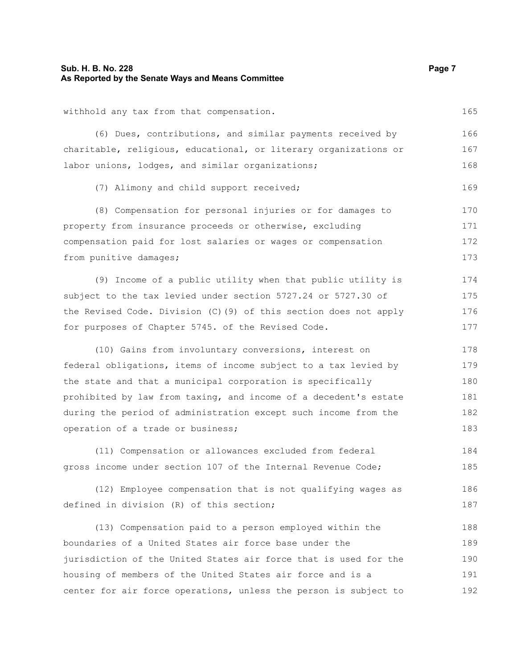#### **Sub. H. B. No. 228 Page 7 Page 7 Page 7 Page 7 Page 7 Page 7 Page 7 Page 7 As Reported by the Senate Ways and Means Committee**

withhold any tax from that compensation.

(6) Dues, contributions, and similar payments received by charitable, religious, educational, or literary organizations or labor unions, lodges, and similar organizations; 166 167 168

(7) Alimony and child support received;

(8) Compensation for personal injuries or for damages to property from insurance proceeds or otherwise, excluding compensation paid for lost salaries or wages or compensation from punitive damages; 170 171 172 173

(9) Income of a public utility when that public utility is subject to the tax levied under section 5727.24 or 5727.30 of the Revised Code. Division (C)(9) of this section does not apply for purposes of Chapter 5745. of the Revised Code. 174 175 176 177

(10) Gains from involuntary conversions, interest on federal obligations, items of income subject to a tax levied by the state and that a municipal corporation is specifically prohibited by law from taxing, and income of a decedent's estate during the period of administration except such income from the operation of a trade or business; 178 179 180 181 182 183

(11) Compensation or allowances excluded from federal gross income under section 107 of the Internal Revenue Code; 184 185

(12) Employee compensation that is not qualifying wages as defined in division (R) of this section; 186 187

(13) Compensation paid to a person employed within the boundaries of a United States air force base under the jurisdiction of the United States air force that is used for the housing of members of the United States air force and is a center for air force operations, unless the person is subject to 188 189 190 191 192

165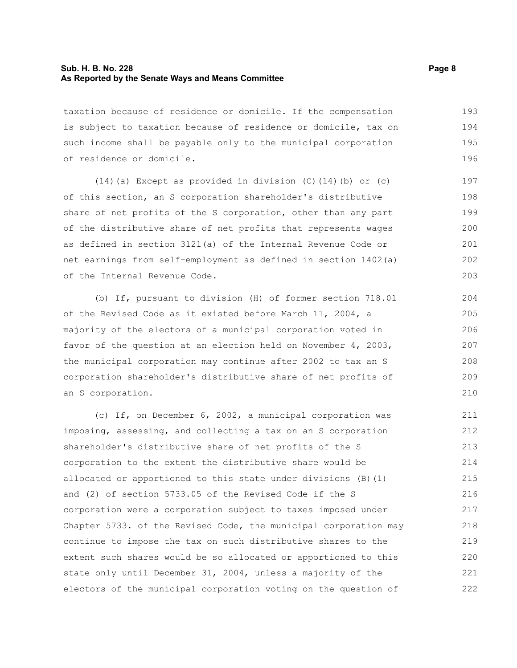#### **Sub. H. B. No. 228 Page 8 As Reported by the Senate Ways and Means Committee**

taxation because of residence or domicile. If the compensation is subject to taxation because of residence or domicile, tax on such income shall be payable only to the municipal corporation of residence or domicile. 193 194 195 196

(14)(a) Except as provided in division (C)(14)(b) or (c) of this section, an S corporation shareholder's distributive share of net profits of the S corporation, other than any part of the distributive share of net profits that represents wages as defined in section 3121(a) of the Internal Revenue Code or net earnings from self-employment as defined in section 1402(a) of the Internal Revenue Code.

(b) If, pursuant to division (H) of former section 718.01 of the Revised Code as it existed before March 11, 2004, a majority of the electors of a municipal corporation voted in favor of the question at an election held on November 4, 2003, the municipal corporation may continue after 2002 to tax an S corporation shareholder's distributive share of net profits of an S corporation.

(c) If, on December 6, 2002, a municipal corporation was imposing, assessing, and collecting a tax on an S corporation shareholder's distributive share of net profits of the S corporation to the extent the distributive share would be allocated or apportioned to this state under divisions (B)(1) and (2) of section 5733.05 of the Revised Code if the S corporation were a corporation subject to taxes imposed under Chapter 5733. of the Revised Code, the municipal corporation may continue to impose the tax on such distributive shares to the extent such shares would be so allocated or apportioned to this state only until December 31, 2004, unless a majority of the electors of the municipal corporation voting on the question of 211 212 213 214 215 216 217 218 219 220 221 222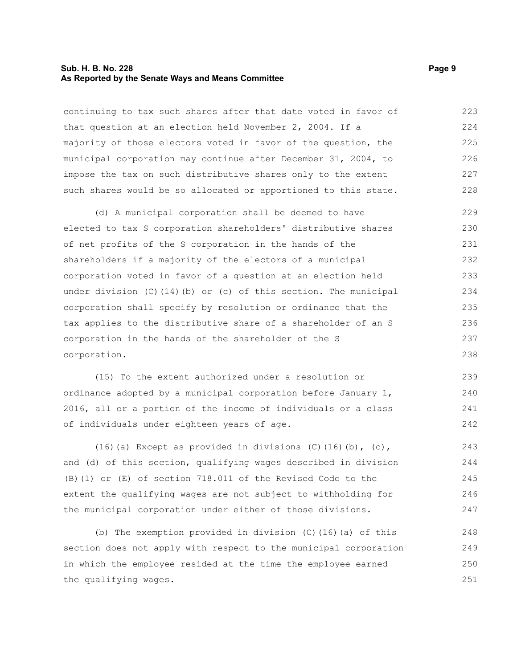#### **Sub. H. B. No. 228 Page 9 As Reported by the Senate Ways and Means Committee**

continuing to tax such shares after that date voted in favor of that question at an election held November 2, 2004. If a majority of those electors voted in favor of the question, the municipal corporation may continue after December 31, 2004, to impose the tax on such distributive shares only to the extent such shares would be so allocated or apportioned to this state. 223 224 225 226 227 228

(d) A municipal corporation shall be deemed to have elected to tax S corporation shareholders' distributive shares of net profits of the S corporation in the hands of the shareholders if a majority of the electors of a municipal corporation voted in favor of a question at an election held under division (C)(14)(b) or (c) of this section. The municipal corporation shall specify by resolution or ordinance that the tax applies to the distributive share of a shareholder of an S corporation in the hands of the shareholder of the S corporation. 229 230 231 232 233 234 235 236 237 238

(15) To the extent authorized under a resolution or ordinance adopted by a municipal corporation before January 1, 2016, all or a portion of the income of individuals or a class of individuals under eighteen years of age. 239 240 241 242

(16)(a) Except as provided in divisions  $(C)$  (16)(b),  $(c)$ , and (d) of this section, qualifying wages described in division (B)(1) or (E) of section 718.011 of the Revised Code to the extent the qualifying wages are not subject to withholding for the municipal corporation under either of those divisions. 243 244 245 246 247

(b) The exemption provided in division (C)(16)(a) of this section does not apply with respect to the municipal corporation in which the employee resided at the time the employee earned the qualifying wages. 248 249 250 251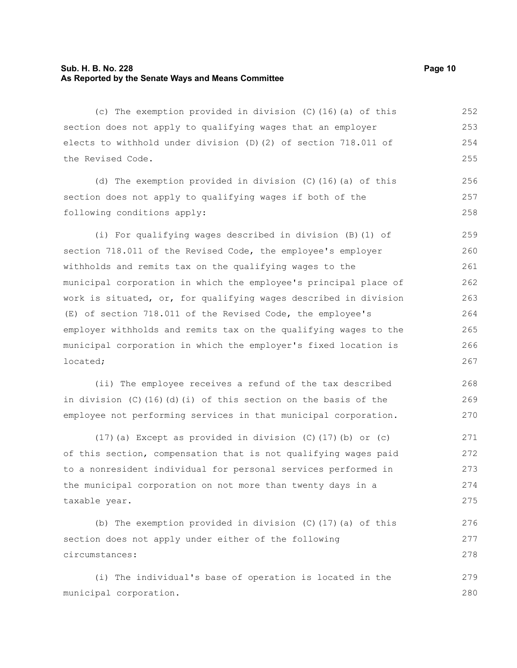#### **Sub. H. B. No. 228 Page 10 As Reported by the Senate Ways and Means Committee**

(c) The exemption provided in division (C)(16)(a) of this section does not apply to qualifying wages that an employer elects to withhold under division (D)(2) of section 718.011 of the Revised Code. 252 253 254 255

(d) The exemption provided in division (C)(16)(a) of this section does not apply to qualifying wages if both of the following conditions apply: 256 257 258

(i) For qualifying wages described in division (B)(1) of section 718.011 of the Revised Code, the employee's employer withholds and remits tax on the qualifying wages to the municipal corporation in which the employee's principal place of work is situated, or, for qualifying wages described in division (E) of section 718.011 of the Revised Code, the employee's employer withholds and remits tax on the qualifying wages to the municipal corporation in which the employer's fixed location is located; 259 260 261 262 263 266 267

(ii) The employee receives a refund of the tax described in division  $(C)$  (16)(d)(i) of this section on the basis of the employee not performing services in that municipal corporation.

(17)(a) Except as provided in division (C)(17)(b) or (c) of this section, compensation that is not qualifying wages paid to a nonresident individual for personal services performed in the municipal corporation on not more than twenty days in a taxable year. 271 272 273 274 275

(b) The exemption provided in division  $(C)$  (17)(a) of this section does not apply under either of the following circumstances: 276 277 278

(i) The individual's base of operation is located in the municipal corporation. 279 280

264 265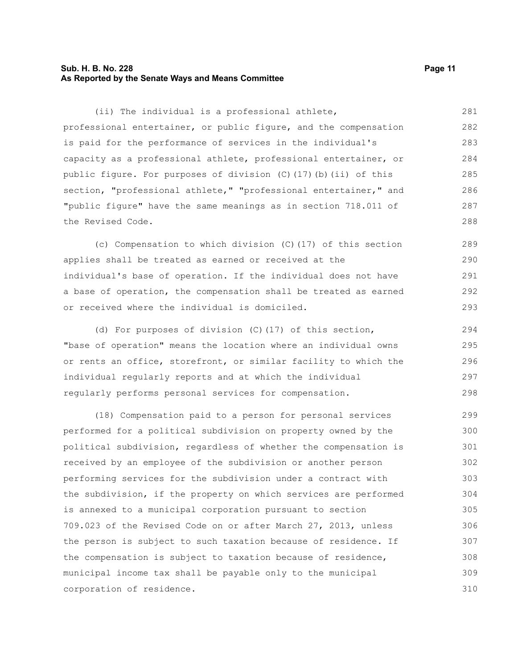#### **Sub. H. B. No. 228 Page 11 As Reported by the Senate Ways and Means Committee**

(ii) The individual is a professional athlete, professional entertainer, or public figure, and the compensation is paid for the performance of services in the individual's capacity as a professional athlete, professional entertainer, or public figure. For purposes of division (C)(17)(b)(ii) of this section, "professional athlete," "professional entertainer," and "public figure" have the same meanings as in section 718.011 of the Revised Code. 281 282 283 284 285 286 287 288

(c) Compensation to which division (C)(17) of this section applies shall be treated as earned or received at the individual's base of operation. If the individual does not have a base of operation, the compensation shall be treated as earned or received where the individual is domiciled. 289 290 291 292 293

(d) For purposes of division (C)(17) of this section, "base of operation" means the location where an individual owns or rents an office, storefront, or similar facility to which the individual regularly reports and at which the individual regularly performs personal services for compensation. 294 295 296 297 298

(18) Compensation paid to a person for personal services performed for a political subdivision on property owned by the political subdivision, regardless of whether the compensation is received by an employee of the subdivision or another person performing services for the subdivision under a contract with the subdivision, if the property on which services are performed is annexed to a municipal corporation pursuant to section 709.023 of the Revised Code on or after March 27, 2013, unless the person is subject to such taxation because of residence. If the compensation is subject to taxation because of residence, municipal income tax shall be payable only to the municipal corporation of residence. 299 300 301 302 303 304 305 306 307 308 309 310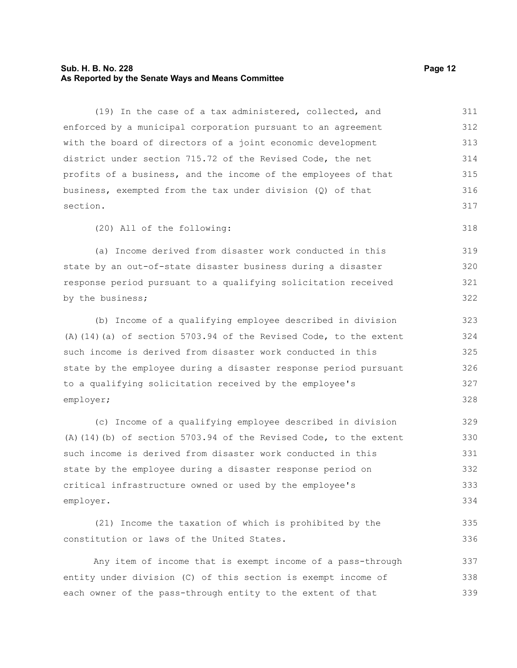#### **Sub. H. B. No. 228 Page 12 As Reported by the Senate Ways and Means Committee**

(19) In the case of a tax administered, collected, and enforced by a municipal corporation pursuant to an agreement with the board of directors of a joint economic development district under section 715.72 of the Revised Code, the net profits of a business, and the income of the employees of that business, exempted from the tax under division (Q) of that section. 311 312 313 314 315 316 317

(20) All of the following:

(a) Income derived from disaster work conducted in this state by an out-of-state disaster business during a disaster response period pursuant to a qualifying solicitation received by the business; 319 320 321 322

(b) Income of a qualifying employee described in division (A)(14)(a) of section 5703.94 of the Revised Code, to the extent such income is derived from disaster work conducted in this state by the employee during a disaster response period pursuant to a qualifying solicitation received by the employee's employer;

(c) Income of a qualifying employee described in division (A)(14)(b) of section 5703.94 of the Revised Code, to the extent such income is derived from disaster work conducted in this state by the employee during a disaster response period on critical infrastructure owned or used by the employee's employer. 329 330 331 332 333 334

(21) Income the taxation of which is prohibited by the constitution or laws of the United States. 335 336

Any item of income that is exempt income of a pass-through entity under division (C) of this section is exempt income of each owner of the pass-through entity to the extent of that 337 338 339

318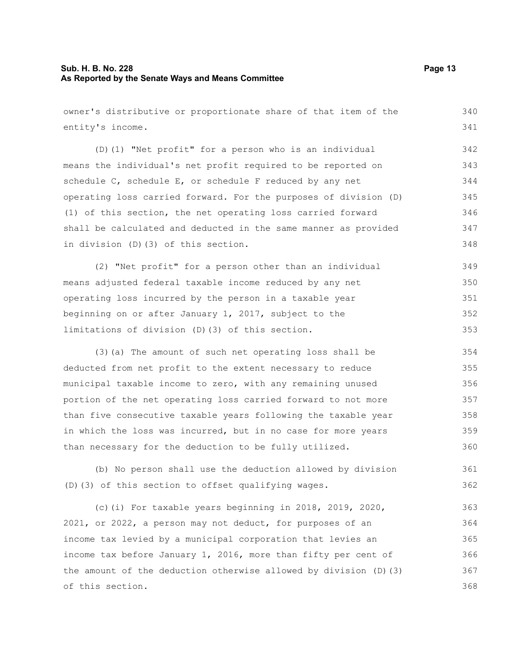#### **Sub. H. B. No. 228 Page 13 As Reported by the Senate Ways and Means Committee**

owner's distributive or proportionate share of that item of the entity's income. (D)(1) "Net profit" for a person who is an individual means the individual's net profit required to be reported on schedule C, schedule E, or schedule F reduced by any net operating loss carried forward. For the purposes of division (D) (1) of this section, the net operating loss carried forward shall be calculated and deducted in the same manner as provided in division (D)(3) of this section.

(2) "Net profit" for a person other than an individual means adjusted federal taxable income reduced by any net operating loss incurred by the person in a taxable year beginning on or after January 1, 2017, subject to the limitations of division (D)(3) of this section. 349 350 351 352 353

(3)(a) The amount of such net operating loss shall be deducted from net profit to the extent necessary to reduce municipal taxable income to zero, with any remaining unused portion of the net operating loss carried forward to not more than five consecutive taxable years following the taxable year in which the loss was incurred, but in no case for more years than necessary for the deduction to be fully utilized. 354 355 356 357 358 359 360

(b) No person shall use the deduction allowed by division (D)(3) of this section to offset qualifying wages. 361 362

(c)(i) For taxable years beginning in 2018, 2019, 2020, 2021, or 2022, a person may not deduct, for purposes of an income tax levied by a municipal corporation that levies an income tax before January 1, 2016, more than fifty per cent of the amount of the deduction otherwise allowed by division (D)(3) of this section. 363 364 365 366 367 368

340 341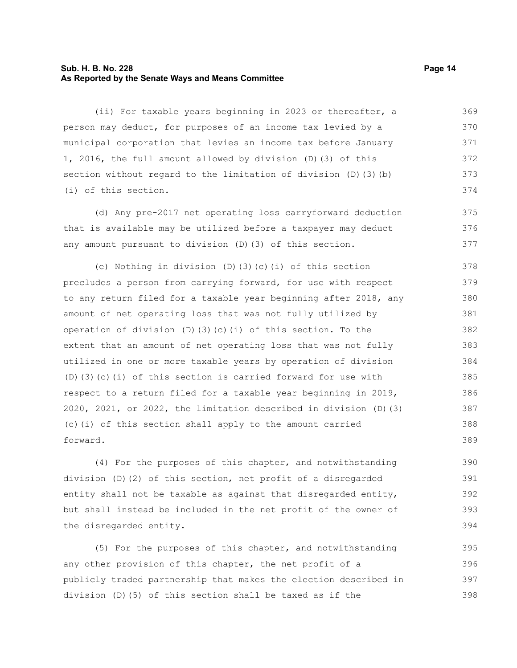#### **Sub. H. B. No. 228 Page 14 As Reported by the Senate Ways and Means Committee**

(ii) For taxable years beginning in 2023 or thereafter, a person may deduct, for purposes of an income tax levied by a municipal corporation that levies an income tax before January 1, 2016, the full amount allowed by division (D)(3) of this section without regard to the limitation of division (D)(3)(b) (i) of this section. 369 370 371 372 373 374

(d) Any pre-2017 net operating loss carryforward deduction that is available may be utilized before a taxpayer may deduct any amount pursuant to division (D)(3) of this section.

(e) Nothing in division (D)(3)(c)(i) of this section precludes a person from carrying forward, for use with respect to any return filed for a taxable year beginning after 2018, any amount of net operating loss that was not fully utilized by operation of division (D)(3)(c)(i) of this section. To the extent that an amount of net operating loss that was not fully utilized in one or more taxable years by operation of division (D)(3)(c)(i) of this section is carried forward for use with respect to a return filed for a taxable year beginning in 2019, 2020, 2021, or 2022, the limitation described in division (D)(3) (c)(i) of this section shall apply to the amount carried forward. 378 379 380 381 382 383 384 385 386 387 388 389

(4) For the purposes of this chapter, and notwithstanding division (D)(2) of this section, net profit of a disregarded entity shall not be taxable as against that disregarded entity, but shall instead be included in the net profit of the owner of the disregarded entity.

(5) For the purposes of this chapter, and notwithstanding any other provision of this chapter, the net profit of a publicly traded partnership that makes the election described in division (D)(5) of this section shall be taxed as if the 395 396 397 398

375 376 377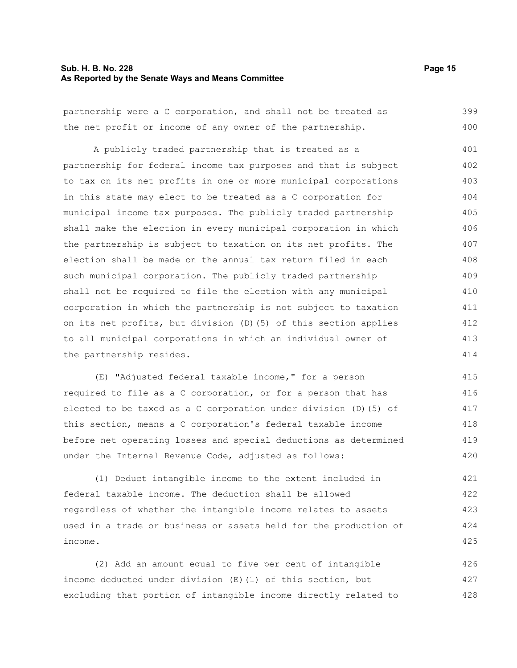#### **Sub. H. B. No. 228 Page 15 As Reported by the Senate Ways and Means Committee**

partnership were a C corporation, and shall not be treated as the net profit or income of any owner of the partnership. A publicly traded partnership that is treated as a partnership for federal income tax purposes and that is subject to tax on its net profits in one or more municipal corporations in this state may elect to be treated as a C corporation for municipal income tax purposes. The publicly traded partnership shall make the election in every municipal corporation in which the partnership is subject to taxation on its net profits. The election shall be made on the annual tax return filed in each such municipal corporation. The publicly traded partnership shall not be required to file the election with any municipal corporation in which the partnership is not subject to taxation on its net profits, but division (D)(5) of this section applies 399 400 401 402 403 404 405 406 407 408 409 410 411

to all municipal corporations in which an individual owner of the partnership resides. 412 413 414

(E) "Adjusted federal taxable income," for a person required to file as a C corporation, or for a person that has elected to be taxed as a C corporation under division (D)(5) of this section, means a C corporation's federal taxable income before net operating losses and special deductions as determined under the Internal Revenue Code, adjusted as follows: 415 416 417 418 419 420

(1) Deduct intangible income to the extent included in federal taxable income. The deduction shall be allowed regardless of whether the intangible income relates to assets used in a trade or business or assets held for the production of income. 421 422 423 424 425

(2) Add an amount equal to five per cent of intangible income deducted under division (E)(1) of this section, but excluding that portion of intangible income directly related to 426 427 428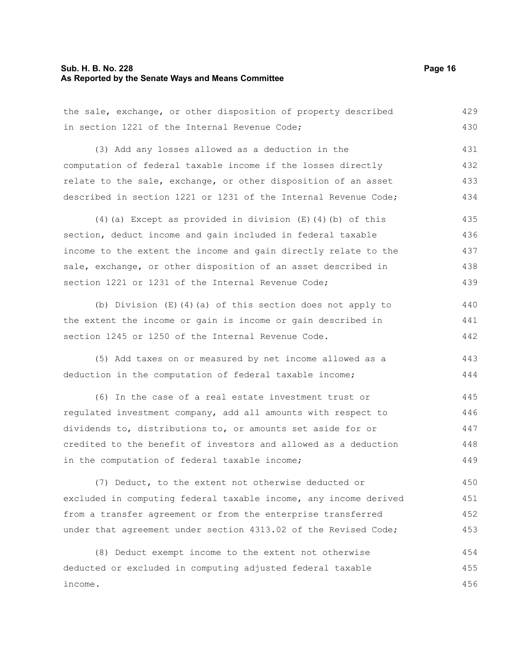#### **Sub. H. B. No. 228 Page 16 As Reported by the Senate Ways and Means Committee**

the sale, exchange, or other disposition of property described in section 1221 of the Internal Revenue Code; (3) Add any losses allowed as a deduction in the computation of federal taxable income if the losses directly relate to the sale, exchange, or other disposition of an asset described in section 1221 or 1231 of the Internal Revenue Code; 429 430 431 432 433 434

(4)(a) Except as provided in division (E)(4)(b) of this section, deduct income and gain included in federal taxable income to the extent the income and gain directly relate to the sale, exchange, or other disposition of an asset described in section 1221 or 1231 of the Internal Revenue Code; 435 436 437 438 439

(b) Division (E)(4)(a) of this section does not apply to the extent the income or gain is income or gain described in section 1245 or 1250 of the Internal Revenue Code. 440 441 442

(5) Add taxes on or measured by net income allowed as a deduction in the computation of federal taxable income; 443 444

(6) In the case of a real estate investment trust or regulated investment company, add all amounts with respect to dividends to, distributions to, or amounts set aside for or credited to the benefit of investors and allowed as a deduction in the computation of federal taxable income; 445 446 447 448 449

(7) Deduct, to the extent not otherwise deducted or excluded in computing federal taxable income, any income derived from a transfer agreement or from the enterprise transferred under that agreement under section 4313.02 of the Revised Code; 450 451 452 453

(8) Deduct exempt income to the extent not otherwise deducted or excluded in computing adjusted federal taxable income. 454 455 456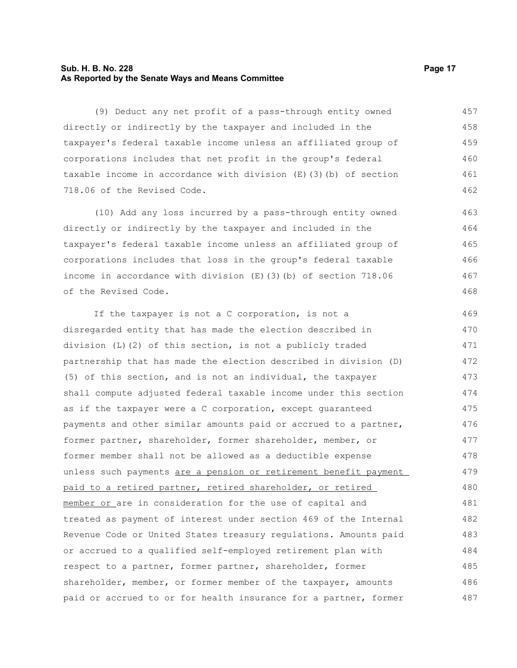#### **Sub. H. B. No. 228 Page 17 As Reported by the Senate Ways and Means Committee**

(9) Deduct any net profit of a pass-through entity owned directly or indirectly by the taxpayer and included in the taxpayer's federal taxable income unless an affiliated group of corporations includes that net profit in the group's federal taxable income in accordance with division (E)(3)(b) of section 718.06 of the Revised Code. 457 458 459 460 461 462

(10) Add any loss incurred by a pass-through entity owned directly or indirectly by the taxpayer and included in the taxpayer's federal taxable income unless an affiliated group of corporations includes that loss in the group's federal taxable income in accordance with division (E)(3)(b) of section 718.06 of the Revised Code.

If the taxpayer is not a C corporation, is not a disregarded entity that has made the election described in division (L)(2) of this section, is not a publicly traded partnership that has made the election described in division (D) (5) of this section, and is not an individual, the taxpayer shall compute adjusted federal taxable income under this section as if the taxpayer were a C corporation, except guaranteed payments and other similar amounts paid or accrued to a partner, former partner, shareholder, former shareholder, member, or former member shall not be allowed as a deductible expense unless such payments are a pension or retirement benefit payment paid to a retired partner, retired shareholder, or retired member or are in consideration for the use of capital and treated as payment of interest under section 469 of the Internal Revenue Code or United States treasury regulations. Amounts paid or accrued to a qualified self-employed retirement plan with respect to a partner, former partner, shareholder, former shareholder, member, or former member of the taxpayer, amounts paid or accrued to or for health insurance for a partner, former 469 470 471 472 473 474 475 476 477 478 479 480 481 482 483 484 485 486 487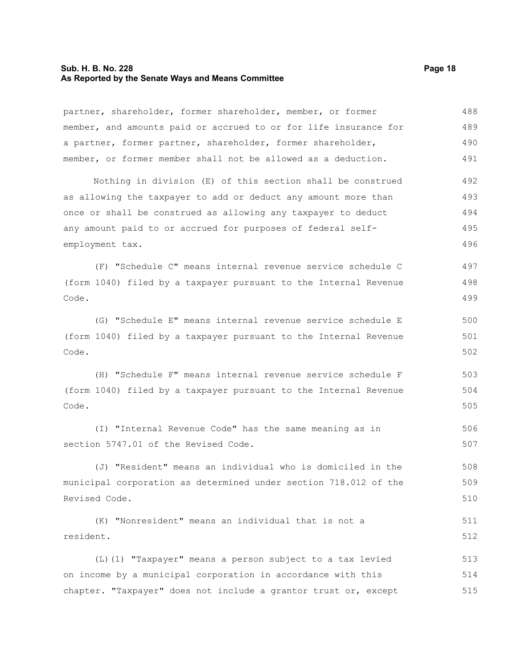#### **Sub. H. B. No. 228 Page 18 As Reported by the Senate Ways and Means Committee**

partner, shareholder, former shareholder, member, or former member, and amounts paid or accrued to or for life insurance for a partner, former partner, shareholder, former shareholder, member, or former member shall not be allowed as a deduction. 488 489 490 491

Nothing in division (E) of this section shall be construed as allowing the taxpayer to add or deduct any amount more than once or shall be construed as allowing any taxpayer to deduct any amount paid to or accrued for purposes of federal selfemployment tax. 492 493 494 495 496

(F) "Schedule C" means internal revenue service schedule C (form 1040) filed by a taxpayer pursuant to the Internal Revenue Code. 497 498 499

(G) "Schedule E" means internal revenue service schedule E (form 1040) filed by a taxpayer pursuant to the Internal Revenue Code. 500 501 502

(H) "Schedule F" means internal revenue service schedule F (form 1040) filed by a taxpayer pursuant to the Internal Revenue Code. 503 504 505

(I) "Internal Revenue Code" has the same meaning as in section 5747.01 of the Revised Code. 506 507

(J) "Resident" means an individual who is domiciled in the municipal corporation as determined under section 718.012 of the Revised Code. 508 509 510

(K) "Nonresident" means an individual that is not a resident. 511 512

(L)(1) "Taxpayer" means a person subject to a tax levied on income by a municipal corporation in accordance with this chapter. "Taxpayer" does not include a grantor trust or, except 513 514 515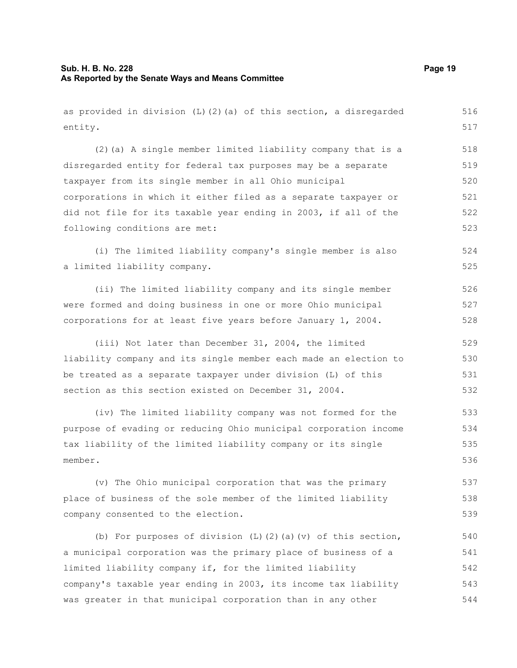#### **Sub. H. B. No. 228 Page 19 As Reported by the Senate Ways and Means Committee**

as provided in division (L)(2)(a) of this section, a disregarded entity. (2)(a) A single member limited liability company that is a disregarded entity for federal tax purposes may be a separate taxpayer from its single member in all Ohio municipal corporations in which it either filed as a separate taxpayer or did not file for its taxable year ending in 2003, if all of the following conditions are met:

(i) The limited liability company's single member is also a limited liability company. 524 525

(ii) The limited liability company and its single member were formed and doing business in one or more Ohio municipal corporations for at least five years before January 1, 2004.

(iii) Not later than December 31, 2004, the limited liability company and its single member each made an election to be treated as a separate taxpayer under division (L) of this section as this section existed on December 31, 2004.

(iv) The limited liability company was not formed for the purpose of evading or reducing Ohio municipal corporation income tax liability of the limited liability company or its single member. 535 536

(v) The Ohio municipal corporation that was the primary place of business of the sole member of the limited liability company consented to the election. 537 538 539

(b) For purposes of division  $(L)$   $(2)$   $(a)$   $(v)$  of this section, a municipal corporation was the primary place of business of a limited liability company if, for the limited liability company's taxable year ending in 2003, its income tax liability was greater in that municipal corporation than in any other 540 541 542 543 544

517 518

526 527 528

516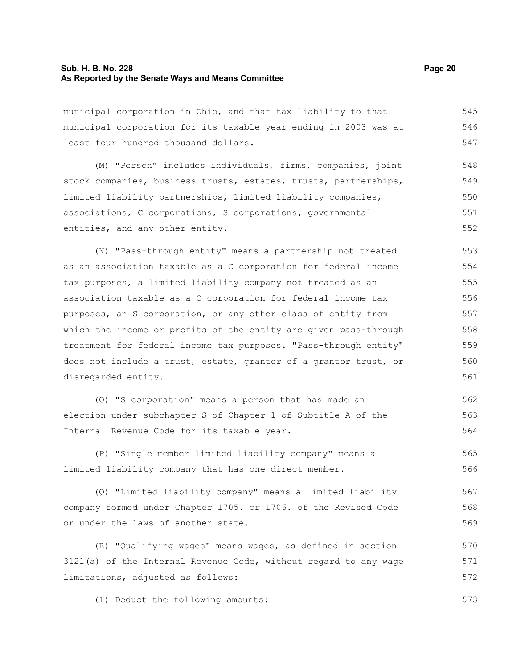#### **Sub. H. B. No. 228 Page 20 As Reported by the Senate Ways and Means Committee**

municipal corporation in Ohio, and that tax liability to that municipal corporation for its taxable year ending in 2003 was at least four hundred thousand dollars. 545 546 547

(M) "Person" includes individuals, firms, companies, joint stock companies, business trusts, estates, trusts, partnerships, limited liability partnerships, limited liability companies, associations, C corporations, S corporations, governmental entities, and any other entity. 548 549 550 551 552

(N) "Pass-through entity" means a partnership not treated as an association taxable as a C corporation for federal income tax purposes, a limited liability company not treated as an association taxable as a C corporation for federal income tax purposes, an S corporation, or any other class of entity from which the income or profits of the entity are given pass-through treatment for federal income tax purposes. "Pass-through entity" does not include a trust, estate, grantor of a grantor trust, or disregarded entity. 553 554 555 556 557 558 559 560 561

(O) "S corporation" means a person that has made an election under subchapter S of Chapter 1 of Subtitle A of the Internal Revenue Code for its taxable year. 562 563 564

(P) "Single member limited liability company" means a limited liability company that has one direct member. 565 566

(Q) "Limited liability company" means a limited liability company formed under Chapter 1705. or 1706. of the Revised Code or under the laws of another state. 567 568 569

(R) "Qualifying wages" means wages, as defined in section 3121(a) of the Internal Revenue Code, without regard to any wage limitations, adjusted as follows: 570 571 572

(1) Deduct the following amounts: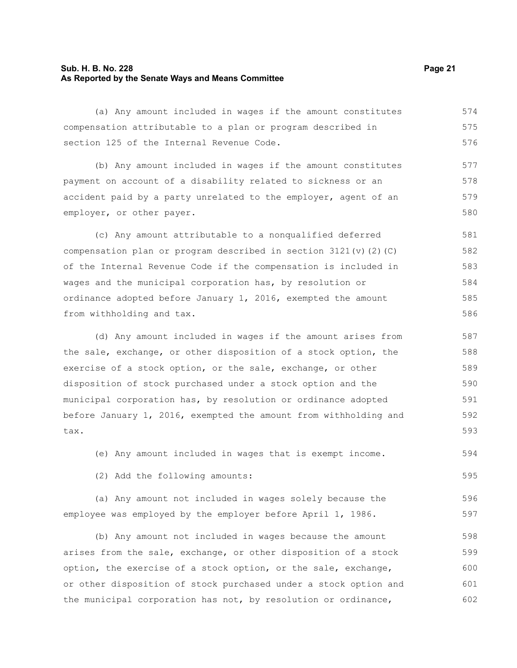#### **Sub. H. B. No. 228 Page 21 As Reported by the Senate Ways and Means Committee**

(a) Any amount included in wages if the amount constitutes compensation attributable to a plan or program described in section 125 of the Internal Revenue Code. 574 575 576

(b) Any amount included in wages if the amount constitutes payment on account of a disability related to sickness or an accident paid by a party unrelated to the employer, agent of an employer, or other payer. 577 578 579 580

(c) Any amount attributable to a nonqualified deferred compensation plan or program described in section  $3121(v)(2)(C)$ of the Internal Revenue Code if the compensation is included in wages and the municipal corporation has, by resolution or ordinance adopted before January 1, 2016, exempted the amount from withholding and tax. 581 582 583 584 585 586

(d) Any amount included in wages if the amount arises from the sale, exchange, or other disposition of a stock option, the exercise of a stock option, or the sale, exchange, or other disposition of stock purchased under a stock option and the municipal corporation has, by resolution or ordinance adopted before January 1, 2016, exempted the amount from withholding and tax. 587 588 589 590 591 592 593

(e) Any amount included in wages that is exempt income. 594

(2) Add the following amounts:

(a) Any amount not included in wages solely because the employee was employed by the employer before April 1, 1986. 596 597

(b) Any amount not included in wages because the amount arises from the sale, exchange, or other disposition of a stock option, the exercise of a stock option, or the sale, exchange, or other disposition of stock purchased under a stock option and the municipal corporation has not, by resolution or ordinance, 598 599 600 601 602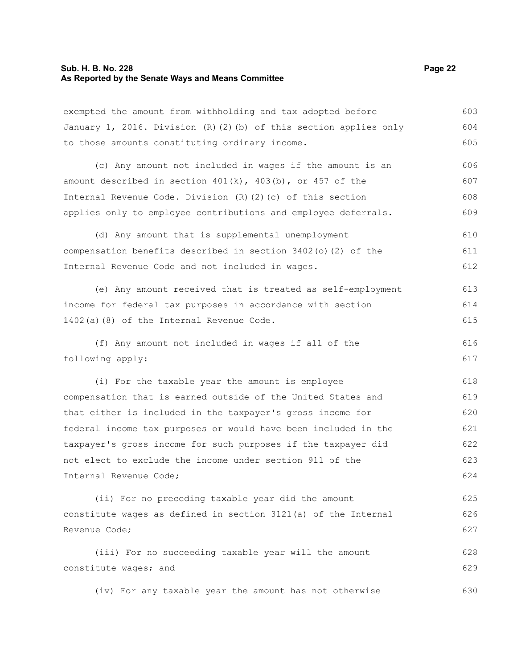#### **Sub. H. B. No. 228 Page 22 As Reported by the Senate Ways and Means Committee**

exempted the amount from withholding and tax adopted before January 1, 2016. Division (R)(2)(b) of this section applies only to those amounts constituting ordinary income. 603 604 605

(c) Any amount not included in wages if the amount is an amount described in section  $401(k)$ ,  $403(k)$ , or  $457$  of the Internal Revenue Code. Division (R)(2)(c) of this section applies only to employee contributions and employee deferrals. 606 607 608 609

(d) Any amount that is supplemental unemployment compensation benefits described in section 3402(o)(2) of the Internal Revenue Code and not included in wages. 610 611 612

(e) Any amount received that is treated as self-employment income for federal tax purposes in accordance with section 1402(a)(8) of the Internal Revenue Code. 613 614 615

(f) Any amount not included in wages if all of the following apply: 616 617

(i) For the taxable year the amount is employee compensation that is earned outside of the United States and that either is included in the taxpayer's gross income for federal income tax purposes or would have been included in the taxpayer's gross income for such purposes if the taxpayer did not elect to exclude the income under section 911 of the Internal Revenue Code; 618 619 620 621 622 623 624

(ii) For no preceding taxable year did the amount constitute wages as defined in section 3121(a) of the Internal Revenue Code; 625 626 627

(iii) For no succeeding taxable year will the amount constitute wages; and 628 629

(iv) For any taxable year the amount has not otherwise 630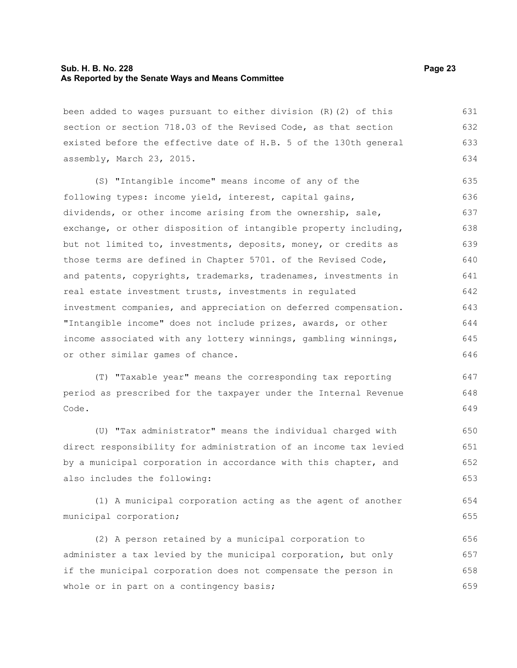#### **Sub. H. B. No. 228 Page 23 As Reported by the Senate Ways and Means Committee**

been added to wages pursuant to either division (R)(2) of this section or section 718.03 of the Revised Code, as that section existed before the effective date of H.B. 5 of the 130th general assembly, March 23, 2015. 631 632 633 634

(S) "Intangible income" means income of any of the following types: income yield, interest, capital gains, dividends, or other income arising from the ownership, sale, exchange, or other disposition of intangible property including, but not limited to, investments, deposits, money, or credits as those terms are defined in Chapter 5701. of the Revised Code, and patents, copyrights, trademarks, tradenames, investments in real estate investment trusts, investments in regulated investment companies, and appreciation on deferred compensation. "Intangible income" does not include prizes, awards, or other income associated with any lottery winnings, gambling winnings, or other similar games of chance. 635 636 637 638 639 640 641 642 643 644 645 646

(T) "Taxable year" means the corresponding tax reporting period as prescribed for the taxpayer under the Internal Revenue Code.

(U) "Tax administrator" means the individual charged with direct responsibility for administration of an income tax levied by a municipal corporation in accordance with this chapter, and also includes the following: 650 651 652 653

(1) A municipal corporation acting as the agent of another municipal corporation;

(2) A person retained by a municipal corporation to administer a tax levied by the municipal corporation, but only if the municipal corporation does not compensate the person in whole or in part on a contingency basis; 656 657 658 659

647 648 649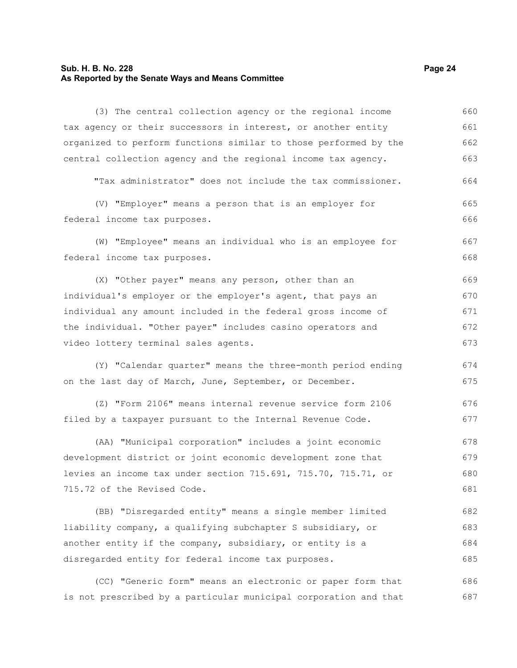#### **Sub. H. B. No. 228 Page 24 As Reported by the Senate Ways and Means Committee**

(3) The central collection agency or the regional income tax agency or their successors in interest, or another entity organized to perform functions similar to those performed by the central collection agency and the regional income tax agency. "Tax administrator" does not include the tax commissioner. (V) "Employer" means a person that is an employer for federal income tax purposes. (W) "Employee" means an individual who is an employee for federal income tax purposes. (X) "Other payer" means any person, other than an individual's employer or the employer's agent, that pays an individual any amount included in the federal gross income of the individual. "Other payer" includes casino operators and video lottery terminal sales agents. (Y) "Calendar quarter" means the three-month period ending on the last day of March, June, September, or December. (Z) "Form 2106" means internal revenue service form 2106 filed by a taxpayer pursuant to the Internal Revenue Code. (AA) "Municipal corporation" includes a joint economic 660 661 662 663 664 665 666 667 668 669 670 671 672 673 674 675 676 677 678

development district or joint economic development zone that levies an income tax under section 715.691, 715.70, 715.71, or 715.72 of the Revised Code. 679 680 681

(BB) "Disregarded entity" means a single member limited liability company, a qualifying subchapter S subsidiary, or another entity if the company, subsidiary, or entity is a disregarded entity for federal income tax purposes. 682 683 684 685

(CC) "Generic form" means an electronic or paper form that is not prescribed by a particular municipal corporation and that 686 687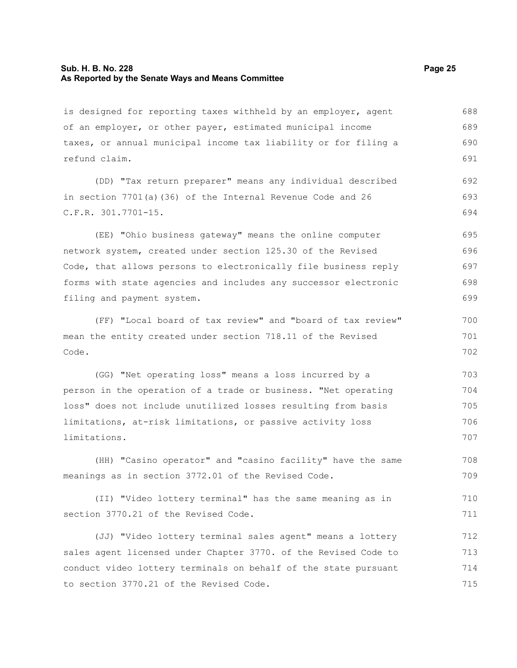#### **Sub. H. B. No. 228 Page 25 As Reported by the Senate Ways and Means Committee**

is designed for reporting taxes withheld by an employer, agent of an employer, or other payer, estimated municipal income taxes, or annual municipal income tax liability or for filing a refund claim. 688 689 690 691

(DD) "Tax return preparer" means any individual described in section 7701(a)(36) of the Internal Revenue Code and 26 C.F.R. 301.7701-15. 692 693 694

(EE) "Ohio business gateway" means the online computer network system, created under section 125.30 of the Revised Code, that allows persons to electronically file business reply forms with state agencies and includes any successor electronic filing and payment system. 695 696 697 698 699

(FF) "Local board of tax review" and "board of tax review" mean the entity created under section 718.11 of the Revised Code.

(GG) "Net operating loss" means a loss incurred by a person in the operation of a trade or business. "Net operating loss" does not include unutilized losses resulting from basis limitations, at-risk limitations, or passive activity loss limitations. 703 704 705 706 707

(HH) "Casino operator" and "casino facility" have the same meanings as in section 3772.01 of the Revised Code. 708 709

(II) "Video lottery terminal" has the same meaning as in section 3770.21 of the Revised Code. 710 711

(JJ) "Video lottery terminal sales agent" means a lottery sales agent licensed under Chapter 3770. of the Revised Code to conduct video lottery terminals on behalf of the state pursuant to section 3770.21 of the Revised Code. 712 713 714 715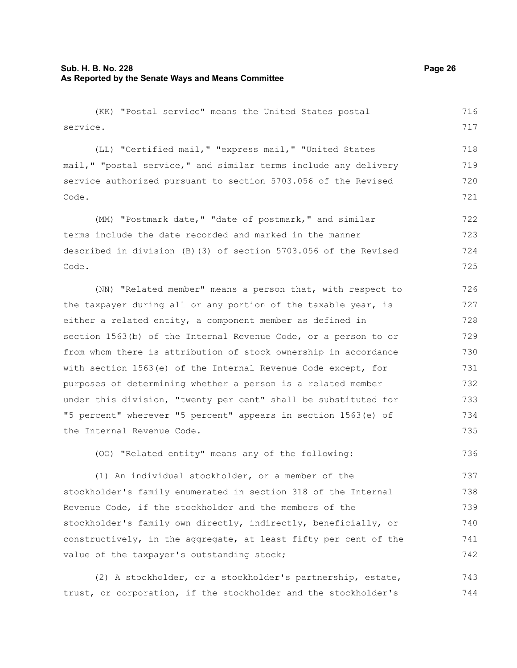#### **Sub. H. B. No. 228 Page 26 As Reported by the Senate Ways and Means Committee**

(KK) "Postal service" means the United States postal service. (LL) "Certified mail," "express mail," "United States mail," "postal service," and similar terms include any delivery service authorized pursuant to section 5703.056 of the Revised Code. (MM) "Postmark date," "date of postmark," and similar terms include the date recorded and marked in the manner described in division (B)(3) of section 5703.056 of the Revised Code. (NN) "Related member" means a person that, with respect to the taxpayer during all or any portion of the taxable year, is either a related entity, a component member as defined in section 1563(b) of the Internal Revenue Code, or a person to or from whom there is attribution of stock ownership in accordance with section 1563(e) of the Internal Revenue Code except, for purposes of determining whether a person is a related member under this division, "twenty per cent" shall be substituted for 716 717 718 719 720 721 722 723 724 725 726 727 728 729 730 731 732 733

"5 percent" wherever "5 percent" appears in section 1563(e) of the Internal Revenue Code. 734 735

(OO) "Related entity" means any of the following:

(1) An individual stockholder, or a member of the stockholder's family enumerated in section 318 of the Internal Revenue Code, if the stockholder and the members of the stockholder's family own directly, indirectly, beneficially, or constructively, in the aggregate, at least fifty per cent of the value of the taxpayer's outstanding stock; 737 738 739 740 741 742

(2) A stockholder, or a stockholder's partnership, estate, trust, or corporation, if the stockholder and the stockholder's 743 744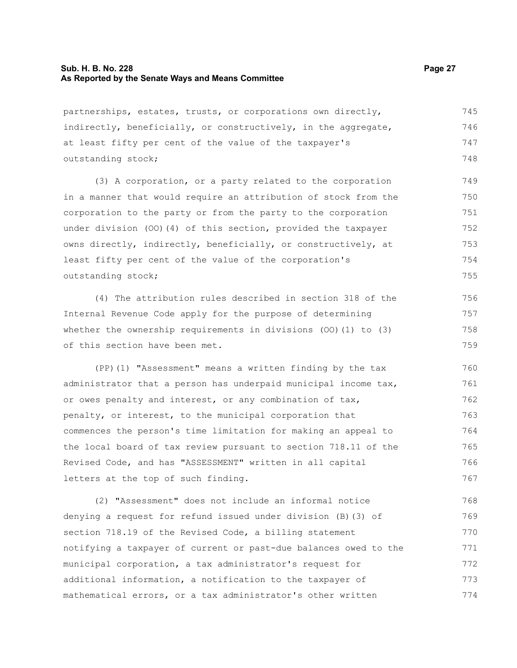#### **Sub. H. B. No. 228 Page 27 As Reported by the Senate Ways and Means Committee**

partnerships, estates, trusts, or corporations own directly, indirectly, beneficially, or constructively, in the aggregate, at least fifty per cent of the value of the taxpayer's outstanding stock; 745 746 747 748

(3) A corporation, or a party related to the corporation in a manner that would require an attribution of stock from the corporation to the party or from the party to the corporation under division (OO)(4) of this section, provided the taxpayer owns directly, indirectly, beneficially, or constructively, at least fifty per cent of the value of the corporation's outstanding stock; 749 750 751 752 753 754 755

(4) The attribution rules described in section 318 of the Internal Revenue Code apply for the purpose of determining whether the ownership requirements in divisions (OO)(1) to (3) of this section have been met.

(PP)(1) "Assessment" means a written finding by the tax administrator that a person has underpaid municipal income tax, or owes penalty and interest, or any combination of tax, penalty, or interest, to the municipal corporation that commences the person's time limitation for making an appeal to the local board of tax review pursuant to section 718.11 of the Revised Code, and has "ASSESSMENT" written in all capital letters at the top of such finding. 760 761 762 763 764 765 766 767

(2) "Assessment" does not include an informal notice denying a request for refund issued under division (B)(3) of section 718.19 of the Revised Code, a billing statement notifying a taxpayer of current or past-due balances owed to the municipal corporation, a tax administrator's request for additional information, a notification to the taxpayer of mathematical errors, or a tax administrator's other written 768 769 770 771 772 773 774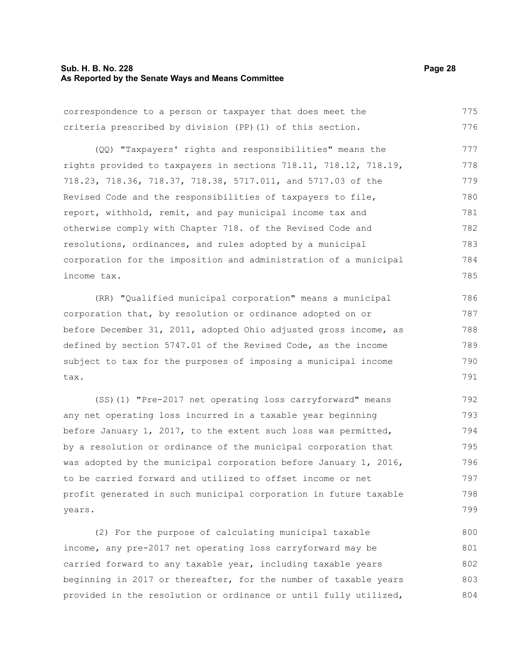#### **Sub. H. B. No. 228 Page 28 As Reported by the Senate Ways and Means Committee**

(QQ) "Taxpayers' rights and responsibilities" means the rights provided to taxpayers in sections 718.11, 718.12, 718.19, 718.23, 718.36, 718.37, 718.38, 5717.011, and 5717.03 of the Revised Code and the responsibilities of taxpayers to file, report, withhold, remit, and pay municipal income tax and otherwise comply with Chapter 718. of the Revised Code and resolutions, ordinances, and rules adopted by a municipal corporation for the imposition and administration of a municipal income tax. (RR) "Qualified municipal corporation" means a municipal corporation that, by resolution or ordinance adopted on or 777 778 779 780 781 782 783 784 785 786 787

before December 31, 2011, adopted Ohio adjusted gross income, as defined by section 5747.01 of the Revised Code, as the income subject to tax for the purposes of imposing a municipal income tax. 788 789 790 791

(SS)(1) "Pre-2017 net operating loss carryforward" means any net operating loss incurred in a taxable year beginning before January 1, 2017, to the extent such loss was permitted, by a resolution or ordinance of the municipal corporation that was adopted by the municipal corporation before January 1, 2016, to be carried forward and utilized to offset income or net profit generated in such municipal corporation in future taxable years. 792 793 794 795 796 797 798 799

(2) For the purpose of calculating municipal taxable income, any pre-2017 net operating loss carryforward may be carried forward to any taxable year, including taxable years beginning in 2017 or thereafter, for the number of taxable years provided in the resolution or ordinance or until fully utilized, 800 801 802 803 804

correspondence to a person or taxpayer that does meet the criteria prescribed by division (PP)(1) of this section. 775 776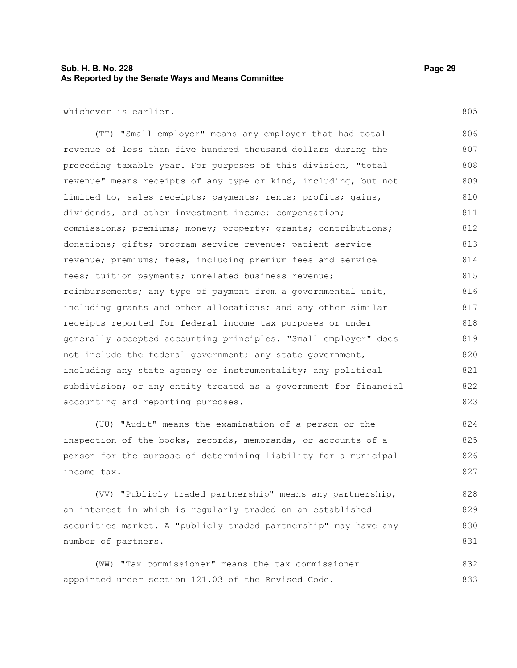#### **Sub. H. B. No. 228 Page 29 As Reported by the Senate Ways and Means Committee**

whichever is earlier.

(TT) "Small employer" means any employer that had total revenue of less than five hundred thousand dollars during the preceding taxable year. For purposes of this division, "total revenue" means receipts of any type or kind, including, but not limited to, sales receipts; payments; rents; profits; gains, dividends, and other investment income; compensation; commissions; premiums; money; property; grants; contributions; donations; gifts; program service revenue; patient service revenue; premiums; fees, including premium fees and service fees; tuition payments; unrelated business revenue; reimbursements; any type of payment from a governmental unit, including grants and other allocations; and any other similar receipts reported for federal income tax purposes or under generally accepted accounting principles. "Small employer" does not include the federal government; any state government, including any state agency or instrumentality; any political subdivision; or any entity treated as a government for financial accounting and reporting purposes. 806 807 808 809 810 811 812 813 814 815 816 817 818 819 820 821 822 823

(UU) "Audit" means the examination of a person or the inspection of the books, records, memoranda, or accounts of a person for the purpose of determining liability for a municipal income tax. 824 825 826 827

(VV) "Publicly traded partnership" means any partnership, an interest in which is regularly traded on an established securities market. A "publicly traded partnership" may have any number of partners. 828 829 830 831

(WW) "Tax commissioner" means the tax commissioner appointed under section 121.03 of the Revised Code. 832 833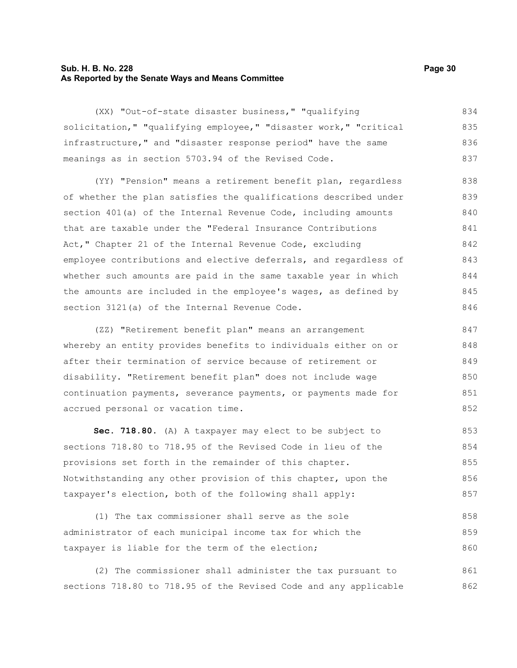#### **Sub. H. B. No. 228 Page 30 As Reported by the Senate Ways and Means Committee**

(XX) "Out-of-state disaster business," "qualifying solicitation," "qualifying employee," "disaster work," "critical infrastructure," and "disaster response period" have the same meanings as in section 5703.94 of the Revised Code. 834 835 836 837

(YY) "Pension" means a retirement benefit plan, regardless of whether the plan satisfies the qualifications described under section 401(a) of the Internal Revenue Code, including amounts that are taxable under the "Federal Insurance Contributions Act," Chapter 21 of the Internal Revenue Code, excluding employee contributions and elective deferrals, and regardless of whether such amounts are paid in the same taxable year in which the amounts are included in the employee's wages, as defined by section 3121(a) of the Internal Revenue Code. 838 839 840 841 842 843 844 845 846

(ZZ) "Retirement benefit plan" means an arrangement whereby an entity provides benefits to individuals either on or after their termination of service because of retirement or disability. "Retirement benefit plan" does not include wage continuation payments, severance payments, or payments made for accrued personal or vacation time. 847 848 849 850 851 852

**Sec. 718.80.** (A) A taxpayer may elect to be subject to sections 718.80 to 718.95 of the Revised Code in lieu of the provisions set forth in the remainder of this chapter. Notwithstanding any other provision of this chapter, upon the taxpayer's election, both of the following shall apply: 853 854 855 856 857

(1) The tax commissioner shall serve as the sole administrator of each municipal income tax for which the taxpayer is liable for the term of the election; 858 859 860

(2) The commissioner shall administer the tax pursuant to sections 718.80 to 718.95 of the Revised Code and any applicable 861 862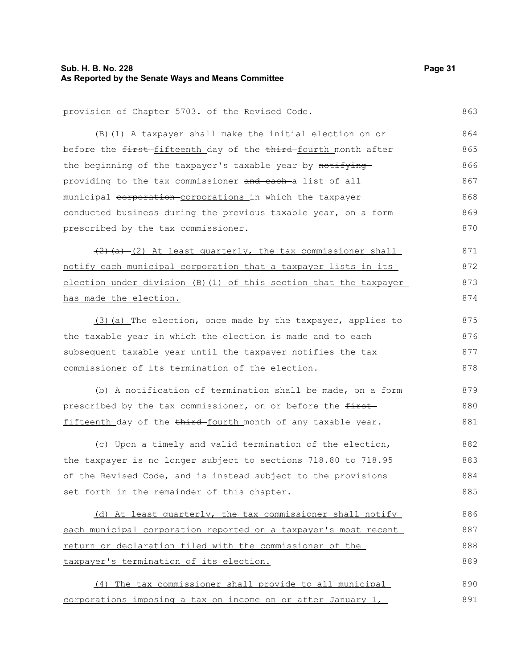# **As Reported by the Senate Ways and Means Committee**

provision of Chapter 5703. of the Revised Code.

| (B) (1) A taxpayer shall make the initial election on or          | 864 |
|-------------------------------------------------------------------|-----|
| before the first-fifteenth day of the third-fourth month after    | 865 |
| the beginning of the taxpayer's taxable year by notifying         | 866 |
| providing to the tax commissioner and each-a list of all          | 867 |
| municipal corporation corporations in which the taxpayer          | 868 |
| conducted business during the previous taxable year, on a form    | 869 |
| prescribed by the tax commissioner.                               | 870 |
| $(2)$ (a)- $(2)$ At least quarterly, the tax commissioner shall   | 871 |
| notify each municipal corporation that a taxpayer lists in its    | 872 |
| election under division (B) (1) of this section that the taxpayer | 873 |
| has made the election.                                            | 874 |
| (3) (a) The election, once made by the taxpayer, applies to       | 875 |
| the taxable year in which the election is made and to each        | 876 |
| subsequent taxable year until the taxpayer notifies the tax       | 877 |
| commissioner of its termination of the election.                  | 878 |
| (b) A notification of termination shall be made, on a form        | 879 |
| prescribed by the tax commissioner, on or before the first-       | 880 |
| fifteenth day of the third-fourth month of any taxable year.      | 881 |
| (c) Upon a timely and valid termination of the election,          | 882 |
| the taxpayer is no longer subject to sections 718.80 to 718.95    | 883 |
| of the Revised Code, and is instead subject to the provisions     | 884 |
| set forth in the remainder of this chapter.                       | 885 |
| (d) At least quarterly, the tax commissioner shall notify         | 886 |
| each municipal corporation reported on a taxpayer's most recent   | 887 |
| return or declaration filed with the commissioner of the          | 888 |
| taxpayer's termination of its election.                           | 889 |
| (4) The tax commissioner shall provide to all municipal           | 890 |
| corporations imposing a tax on income on or after January 1,      | 891 |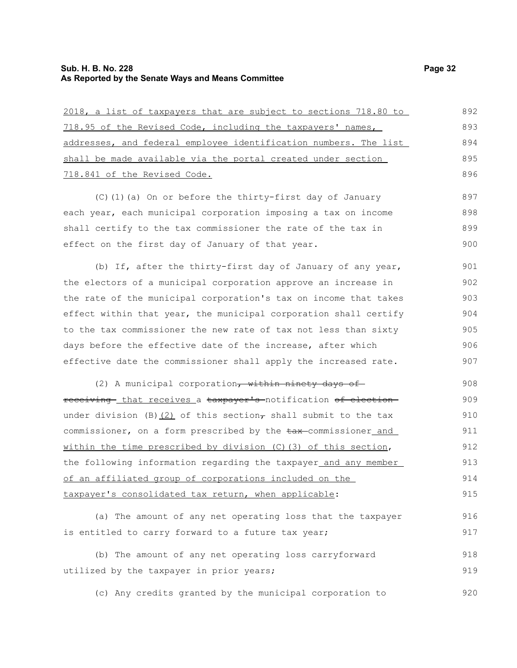## **Sub. H. B. No. 228** Page 32 **As Reported by the Senate Ways and Means Committee**

| 2018, a list of taxpayers that are subject to sections 718.80 to         | 892 |
|--------------------------------------------------------------------------|-----|
| 718.95 of the Revised Code, including the taxpayers' names,              | 893 |
| addresses, and federal employee identification numbers. The list         | 894 |
| shall be made available via the portal created under section             | 895 |
| 718.841 of the Revised Code.                                             |     |
| (C)(1)(a) On or before the thirty-first day of January                   | 897 |
| each year, each municipal corporation imposing a tax on income           | 898 |
| shall certify to the tax commissioner the rate of the tax in             | 899 |
| effect on the first day of January of that year.                         | 900 |
| (b) If, after the thirty-first day of January of any year,               | 901 |
| the electors of a municipal corporation approve an increase in           | 902 |
| the rate of the municipal corporation's tax on income that takes         | 903 |
| effect within that year, the municipal corporation shall certify         | 904 |
| to the tax commissioner the new rate of tax not less than sixty          | 905 |
| days before the effective date of the increase, after which              | 906 |
| effective date the commissioner shall apply the increased rate.          | 907 |
| (2) A municipal corporation, within ninety days of                       | 908 |
| receiving- that receives a taxpayer's notification of election-          | 909 |
| under division (B) $(2)$ of this section, shall submit to the tax        | 910 |
| commissioner, on a form prescribed by the $\frac{1}{2}$ commissioner and | 911 |
| within the time prescribed by division (C) (3) of this section,          | 912 |
| the following information regarding the taxpayer and any member          | 913 |
| of an affiliated group of corporations included on the                   | 914 |
| taxpayer's consolidated tax return, when applicable:                     | 915 |
| (a) The amount of any net operating loss that the taxpayer               | 916 |
| is entitled to carry forward to a future tax year;                       | 917 |
| (b) The amount of any net operating loss carryforward                    | 918 |
| utilized by the taxpayer in prior years;                                 | 919 |

(c) Any credits granted by the municipal corporation to 920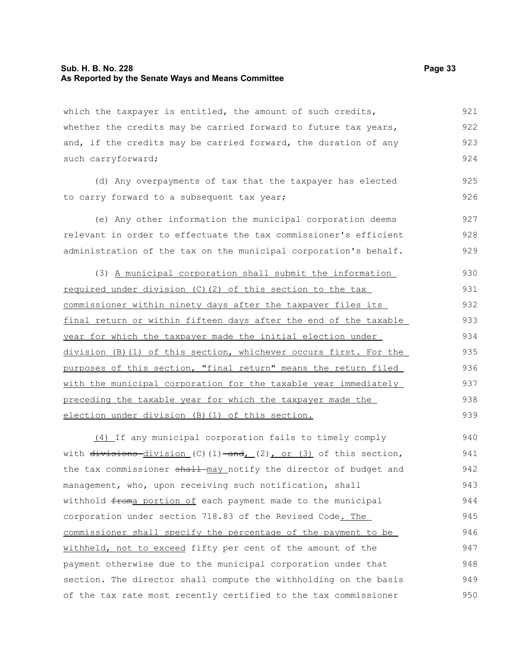#### **Sub. H. B. No. 228 Page 33 As Reported by the Senate Ways and Means Committee**

which the taxpayer is entitled, the amount of such credits, whether the credits may be carried forward to future tax years, and, if the credits may be carried forward, the duration of any such carryforward; 921 922 923 924

(d) Any overpayments of tax that the taxpayer has elected to carry forward to a subsequent tax year; 925 926

(e) Any other information the municipal corporation deems relevant in order to effectuate the tax commissioner's efficient administration of the tax on the municipal corporation's behalf. 927 928 929

(3) A municipal corporation shall submit the information required under division (C)(2) of this section to the tax commissioner within ninety days after the taxpayer files its final return or within fifteen days after the end of the taxable year for which the taxpayer made the initial election under division (B)(1) of this section, whichever occurs first. For the purposes of this section, "final return" means the return filed with the municipal corporation for the taxable year immediately preceding the taxable year for which the taxpayer made the election under division (B)(1) of this section. 930 931 932 933 934 935 936 937 938 939

(4) If any municipal corporation fails to timely comply with  $\frac{divisions-division}{(C)}$  (1)  $\frac{and}{(2)}$  or (3) of this section, the tax commissioner shall may notify the director of budget and management, who, upon receiving such notification, shall withhold froma portion of each payment made to the municipal corporation under section 718.83 of the Revised Code. The commissioner shall specify the percentage of the payment to be withheld, not to exceed fifty per cent of the amount of the payment otherwise due to the municipal corporation under that section. The director shall compute the withholding on the basis of the tax rate most recently certified to the tax commissioner 940 941 942 943 944 945 946 947 948 949 950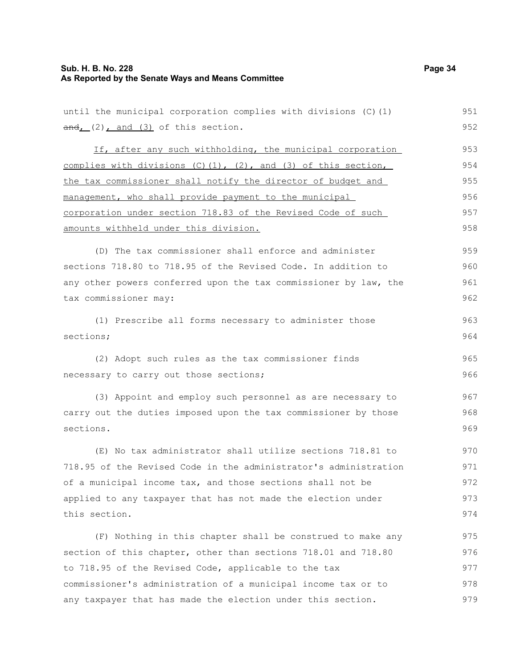## **Sub. H. B. No. 228** Page 34 **As Reported by the Senate Ways and Means Committee**

| until the municipal corporation complies with divisions (C) (1)          | 951 |
|--------------------------------------------------------------------------|-----|
| $\frac{and_L}{=}$ (2) $_L$ and (3) of this section.                      | 952 |
| If, after any such withholding, the municipal corporation                | 953 |
| complies with divisions $(C)$ $(1)$ , $(2)$ , and $(3)$ of this section, | 954 |
| the tax commissioner shall notify the director of budget and             | 955 |
| management, who shall provide payment to the municipal                   | 956 |
| corporation under section 718.83 of the Revised Code of such             |     |
| amounts withheld under this division.                                    |     |
| (D) The tax commissioner shall enforce and administer                    | 959 |
| sections 718.80 to 718.95 of the Revised Code. In addition to            | 960 |
| any other powers conferred upon the tax commissioner by law, the         | 961 |
| tax commissioner may:                                                    | 962 |
| (1) Prescribe all forms necessary to administer those                    | 963 |
| sections;                                                                | 964 |
| (2) Adopt such rules as the tax commissioner finds                       | 965 |
| necessary to carry out those sections;                                   | 966 |
| (3) Appoint and employ such personnel as are necessary to                | 967 |
| carry out the duties imposed upon the tax commissioner by those          | 968 |
| sections.                                                                | 969 |
| (E) No tax administrator shall utilize sections 718.81 to                | 970 |
| 718.95 of the Revised Code in the administrator's administration         | 971 |
| of a municipal income tax, and those sections shall not be               | 972 |
| applied to any taxpayer that has not made the election under             | 973 |
| this section.                                                            | 974 |
| (F) Nothing in this chapter shall be construed to make any               | 975 |
| section of this chapter, other than sections 718.01 and 718.80           | 976 |
| to 718.95 of the Revised Code, applicable to the tax                     | 977 |
| commissioner's administration of a municipal income tax or to            | 978 |
| any taxpayer that has made the election under this section.              | 979 |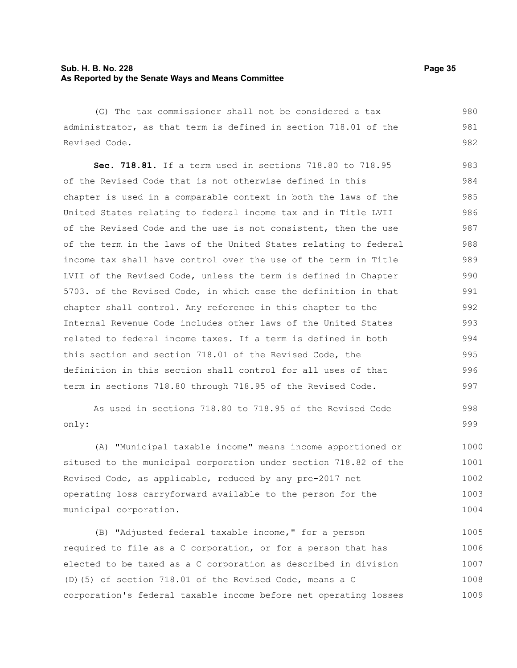#### **Sub. H. B. No. 228 Page 35 As Reported by the Senate Ways and Means Committee**

(G) The tax commissioner shall not be considered a tax administrator, as that term is defined in section 718.01 of the Revised Code.

**Sec. 718.81.** If a term used in sections 718.80 to 718.95 of the Revised Code that is not otherwise defined in this chapter is used in a comparable context in both the laws of the United States relating to federal income tax and in Title LVII of the Revised Code and the use is not consistent, then the use of the term in the laws of the United States relating to federal income tax shall have control over the use of the term in Title LVII of the Revised Code, unless the term is defined in Chapter 5703. of the Revised Code, in which case the definition in that chapter shall control. Any reference in this chapter to the Internal Revenue Code includes other laws of the United States related to federal income taxes. If a term is defined in both this section and section 718.01 of the Revised Code, the definition in this section shall control for all uses of that term in sections 718.80 through 718.95 of the Revised Code. 983 984 985 986 987 988 989 990 991 992 993 994 995 996 997

As used in sections 718.80 to 718.95 of the Revised Code only: 998 999

(A) "Municipal taxable income" means income apportioned or sitused to the municipal corporation under section 718.82 of the Revised Code, as applicable, reduced by any pre-2017 net operating loss carryforward available to the person for the municipal corporation. 1000 1001 1002 1003 1004

(B) "Adjusted federal taxable income," for a person required to file as a C corporation, or for a person that has elected to be taxed as a C corporation as described in division (D)(5) of section 718.01 of the Revised Code, means a C corporation's federal taxable income before net operating losses 1005 1006 1007 1008 1009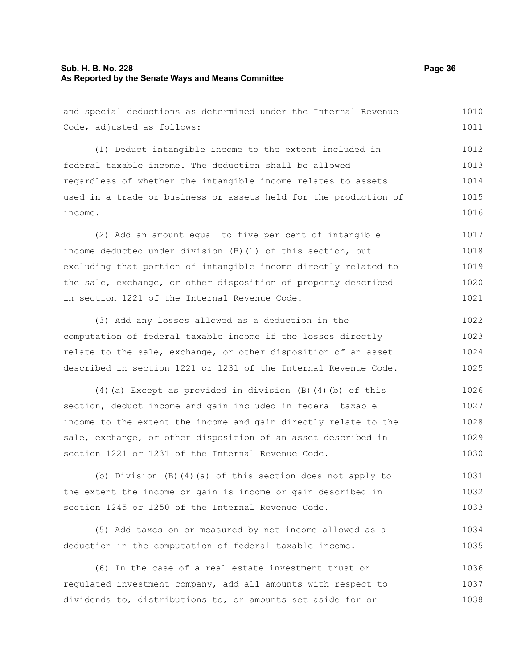#### **Sub. H. B. No. 228 Page 36 As Reported by the Senate Ways and Means Committee**

and special deductions as determined under the Internal Revenue Code, adjusted as follows: (1) Deduct intangible income to the extent included in federal taxable income. The deduction shall be allowed regardless of whether the intangible income relates to assets used in a trade or business or assets held for the production of income. (2) Add an amount equal to five per cent of intangible income deducted under division (B)(1) of this section, but excluding that portion of intangible income directly related to the sale, exchange, or other disposition of property described in section 1221 of the Internal Revenue Code. (3) Add any losses allowed as a deduction in the computation of federal taxable income if the losses directly relate to the sale, exchange, or other disposition of an asset described in section 1221 or 1231 of the Internal Revenue Code. (4)(a) Except as provided in division (B)(4)(b) of this 1010 1011 1012 1013 1014 1015 1016 1017 1018 1019 1020 1021 1022 1023 1024 1025 1026

section, deduct income and gain included in federal taxable income to the extent the income and gain directly relate to the sale, exchange, or other disposition of an asset described in section 1221 or 1231 of the Internal Revenue Code. 1027 1028 1029 1030

(b) Division (B)(4)(a) of this section does not apply to the extent the income or gain is income or gain described in section 1245 or 1250 of the Internal Revenue Code. 1031 1032 1033

(5) Add taxes on or measured by net income allowed as a deduction in the computation of federal taxable income. 1034 1035

(6) In the case of a real estate investment trust or regulated investment company, add all amounts with respect to dividends to, distributions to, or amounts set aside for or 1036 1037 1038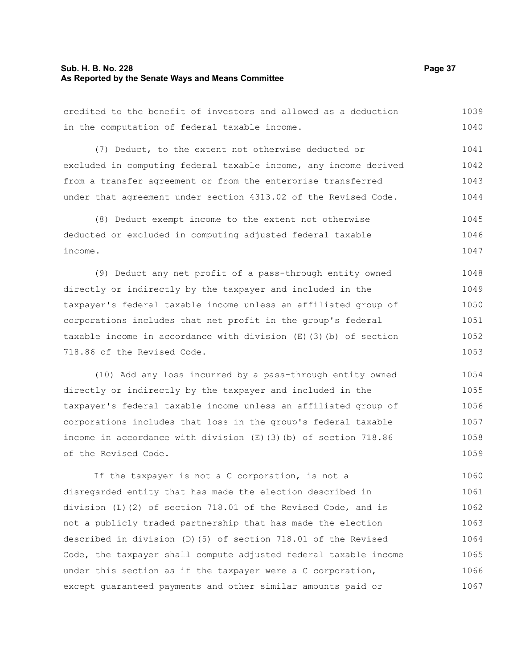#### **Sub. H. B. No. 228 Page 37 As Reported by the Senate Ways and Means Committee**

credited to the benefit of investors and allowed as a deduction in the computation of federal taxable income. 1039 1040

(7) Deduct, to the extent not otherwise deducted or excluded in computing federal taxable income, any income derived from a transfer agreement or from the enterprise transferred under that agreement under section 4313.02 of the Revised Code. 1041 1042 1043 1044

(8) Deduct exempt income to the extent not otherwise deducted or excluded in computing adjusted federal taxable income. 1045 1046 1047

(9) Deduct any net profit of a pass-through entity owned directly or indirectly by the taxpayer and included in the taxpayer's federal taxable income unless an affiliated group of corporations includes that net profit in the group's federal taxable income in accordance with division (E)(3)(b) of section 718.86 of the Revised Code. 1048 1049 1050 1051 1052 1053

(10) Add any loss incurred by a pass-through entity owned directly or indirectly by the taxpayer and included in the taxpayer's federal taxable income unless an affiliated group of corporations includes that loss in the group's federal taxable income in accordance with division (E)(3)(b) of section 718.86 of the Revised Code. 1054 1055 1056 1057 1058 1059

If the taxpayer is not a C corporation, is not a disregarded entity that has made the election described in division (L)(2) of section 718.01 of the Revised Code, and is not a publicly traded partnership that has made the election described in division (D)(5) of section 718.01 of the Revised Code, the taxpayer shall compute adjusted federal taxable income under this section as if the taxpayer were a C corporation, except guaranteed payments and other similar amounts paid or 1060 1061 1062 1063 1064 1065 1066 1067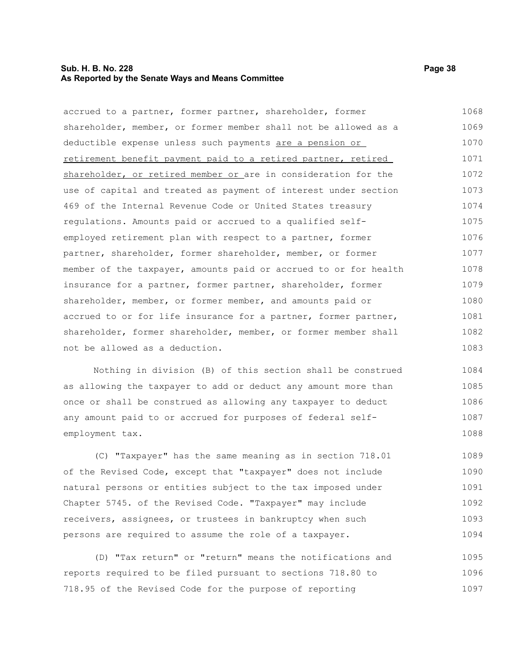#### **Sub. H. B. No. 228 Page 38 As Reported by the Senate Ways and Means Committee**

accrued to a partner, former partner, shareholder, former shareholder, member, or former member shall not be allowed as a deductible expense unless such payments are a pension or retirement benefit payment paid to a retired partner, retired shareholder, or retired member or are in consideration for the use of capital and treated as payment of interest under section 469 of the Internal Revenue Code or United States treasury regulations. Amounts paid or accrued to a qualified selfemployed retirement plan with respect to a partner, former partner, shareholder, former shareholder, member, or former member of the taxpayer, amounts paid or accrued to or for health insurance for a partner, former partner, shareholder, former shareholder, member, or former member, and amounts paid or accrued to or for life insurance for a partner, former partner, shareholder, former shareholder, member, or former member shall not be allowed as a deduction. 1068 1069 1070 1071 1072 1073 1074 1075 1076 1077 1078 1079 1080 1081 1082 1083

Nothing in division (B) of this section shall be construed as allowing the taxpayer to add or deduct any amount more than once or shall be construed as allowing any taxpayer to deduct any amount paid to or accrued for purposes of federal selfemployment tax. 1084 1085 1086 1087 1088

(C) "Taxpayer" has the same meaning as in section 718.01 of the Revised Code, except that "taxpayer" does not include natural persons or entities subject to the tax imposed under Chapter 5745. of the Revised Code. "Taxpayer" may include receivers, assignees, or trustees in bankruptcy when such persons are required to assume the role of a taxpayer. 1089 1090 1091 1092 1093 1094

(D) "Tax return" or "return" means the notifications and reports required to be filed pursuant to sections 718.80 to 718.95 of the Revised Code for the purpose of reporting 1095 1096 1097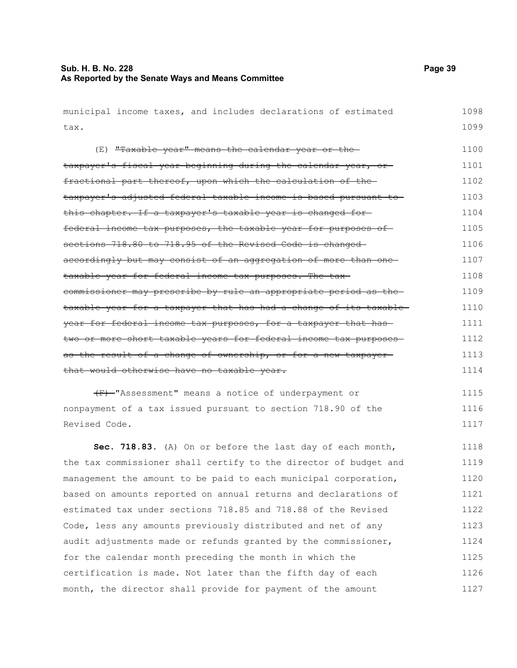tax.

municipal income taxes, and includes declarations of estimated (E) "Taxable year" means the calendar year or the-

taxpayer's fiscal year beginning during the calendar year, orfractional part thereof, upon which the calculation of the taxpayer's adjusted federal taxable income is based pursuant to this chapter. If a taxpayer's taxable year is changed for federal income tax purposes, the taxable year for purposes of sections 718.80 to 718.95 of the Revised Code is changed accordingly but may consist of an aggregation of more than one taxable year for federal income tax purposes. The tax commissioner may prescribe by rule an appropriate period as the taxable year for a taxpayer that has had a change of its taxable year for federal income tax purposes, for a taxpayer that has two or more short taxable years for federal income tax purposes as the result of a change of ownership, or for a new taxpayer that would otherwise have no taxable year. 1101 1102 1103 1104 1105 1106 1107 1108 1109 1110 1111 1112 1113 1114

(F) "Assessment" means a notice of underpayment or nonpayment of a tax issued pursuant to section 718.90 of the Revised Code. 1115 1116 1117

**Sec. 718.83.** (A) On or before the last day of each month, the tax commissioner shall certify to the director of budget and management the amount to be paid to each municipal corporation, based on amounts reported on annual returns and declarations of estimated tax under sections 718.85 and 718.88 of the Revised Code, less any amounts previously distributed and net of any audit adjustments made or refunds granted by the commissioner, for the calendar month preceding the month in which the certification is made. Not later than the fifth day of each month, the director shall provide for payment of the amount 1118 1119 1120 1121 1122 1123 1124 1125 1126 1127

1098 1099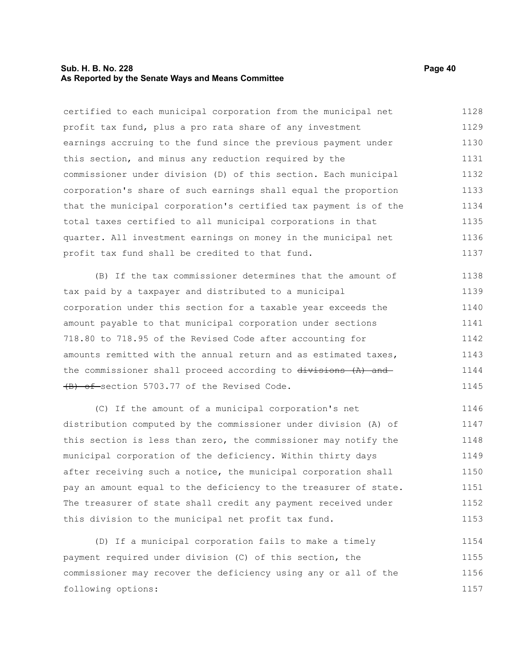#### **Sub. H. B. No. 228 Page 40 As Reported by the Senate Ways and Means Committee**

certified to each municipal corporation from the municipal net profit tax fund, plus a pro rata share of any investment earnings accruing to the fund since the previous payment under this section, and minus any reduction required by the commissioner under division (D) of this section. Each municipal corporation's share of such earnings shall equal the proportion that the municipal corporation's certified tax payment is of the total taxes certified to all municipal corporations in that quarter. All investment earnings on money in the municipal net profit tax fund shall be credited to that fund. 1128 1129 1130 1131 1132 1133 1134 1135 1136 1137

(B) If the tax commissioner determines that the amount of tax paid by a taxpayer and distributed to a municipal corporation under this section for a taxable year exceeds the amount payable to that municipal corporation under sections 718.80 to 718.95 of the Revised Code after accounting for amounts remitted with the annual return and as estimated taxes, the commissioner shall proceed according to divisions (A) and (B) of section 5703.77 of the Revised Code. 1138 1139 1140 1141 1142 1143 1144 1145

(C) If the amount of a municipal corporation's net distribution computed by the commissioner under division (A) of this section is less than zero, the commissioner may notify the municipal corporation of the deficiency. Within thirty days after receiving such a notice, the municipal corporation shall pay an amount equal to the deficiency to the treasurer of state. The treasurer of state shall credit any payment received under this division to the municipal net profit tax fund. 1146 1147 1148 1149 1150 1151 1152 1153

(D) If a municipal corporation fails to make a timely payment required under division (C) of this section, the commissioner may recover the deficiency using any or all of the following options: 1154 1155 1156 1157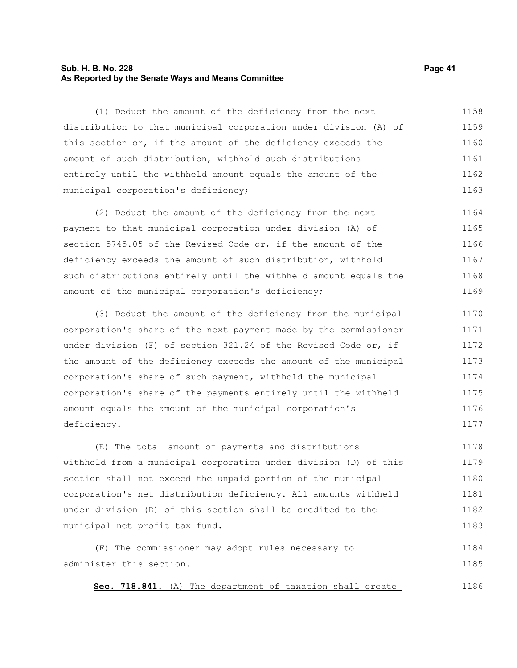#### **Sub. H. B. No. 228 Page 41 As Reported by the Senate Ways and Means Committee**

(1) Deduct the amount of the deficiency from the next distribution to that municipal corporation under division (A) of this section or, if the amount of the deficiency exceeds the amount of such distribution, withhold such distributions entirely until the withheld amount equals the amount of the municipal corporation's deficiency; 1158 1159 1160 1161 1162 1163

(2) Deduct the amount of the deficiency from the next payment to that municipal corporation under division (A) of section 5745.05 of the Revised Code or, if the amount of the deficiency exceeds the amount of such distribution, withhold such distributions entirely until the withheld amount equals the amount of the municipal corporation's deficiency; 1164 1165 1166 1167 1168 1169

(3) Deduct the amount of the deficiency from the municipal corporation's share of the next payment made by the commissioner under division (F) of section 321.24 of the Revised Code or, if the amount of the deficiency exceeds the amount of the municipal corporation's share of such payment, withhold the municipal corporation's share of the payments entirely until the withheld amount equals the amount of the municipal corporation's deficiency. 1170 1171 1172 1173 1174 1175 1176 1177

(E) The total amount of payments and distributions withheld from a municipal corporation under division (D) of this section shall not exceed the unpaid portion of the municipal corporation's net distribution deficiency. All amounts withheld under division (D) of this section shall be credited to the municipal net profit tax fund. 1178 1179 1180 1181 1182 1183

(F) The commissioner may adopt rules necessary to administer this section. 1184 1185

 **Sec. 718.841.** (A) The department of taxation shall create 1186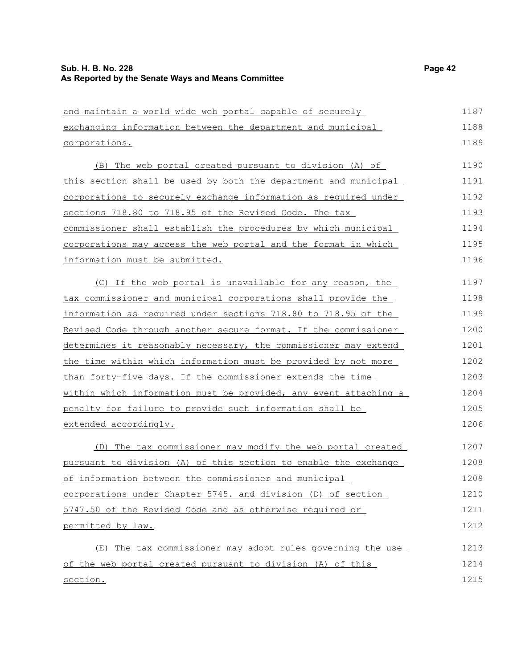#### **Sub. H. B. No. 228 Page 42 As Reported by the Senate Ways and Means Committee**

corporations.

and maintain a world wide web portal capable of securely exchanging information between the department and municipal (B) The web portal created pursuant to division (A) of

this section shall be used by both the department and municipal corporations to securely exchange information as required under sections 718.80 to 718.95 of the Revised Code. The tax commissioner shall establish the procedures by which municipal corporations may access the web portal and the format in which information must be submitted. 1191 1192 1193 1194 1195 1196

(C) If the web portal is unavailable for any reason, the tax commissioner and municipal corporations shall provide the information as required under sections 718.80 to 718.95 of the Revised Code through another secure format. If the commissioner determines it reasonably necessary, the commissioner may extend the time within which information must be provided by not more than forty-five days. If the commissioner extends the time within which information must be provided, any event attaching a penalty for failure to provide such information shall be extended accordingly. 1197 1198 1199 1200 1201 1202 1203 1204 1205 1206

(D) The tax commissioner may modify the web portal created pursuant to division (A) of this section to enable the exchange of information between the commissioner and municipal corporations under Chapter 5745. and division (D) of section 5747.50 of the Revised Code and as otherwise required or permitted by law. 1207 1208 1209 1210 1211 1212

(E) The tax commissioner may adopt rules governing the use of the web portal created pursuant to division (A) of this section. 1213 1214 1215

1187 1188 1189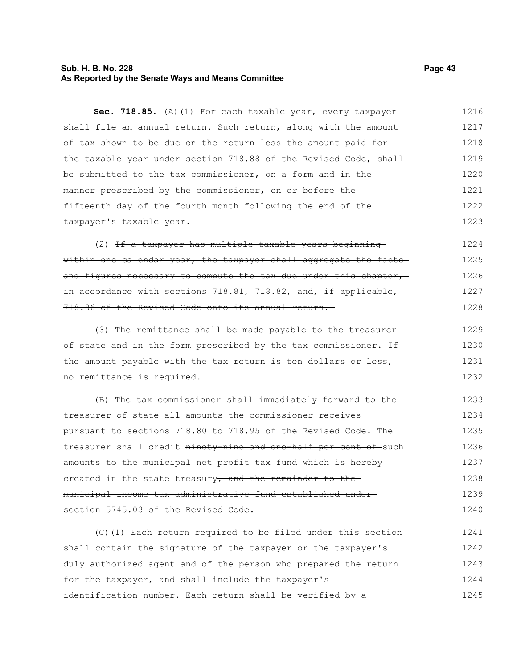#### **Sub. H. B. No. 228 Page 43 As Reported by the Senate Ways and Means Committee**

Sec. 718.85. (A)(1) For each taxable year, every taxpayer shall file an annual return. Such return, along with the amount of tax shown to be due on the return less the amount paid for the taxable year under section 718.88 of the Revised Code, shall be submitted to the tax commissioner, on a form and in the manner prescribed by the commissioner, on or before the fifteenth day of the fourth month following the end of the taxpayer's taxable year. 1216 1217 1218 1219 1220 1221 1222 1223

(2) If a taxpayer has multiple taxable years beginning within one calendar year, the taxpayer shall aggregate the factsand figures necessary to compute the tax due under this chapter, in accordance with sections 718.81, 718.82, and, if applicable, 718.86 of the Revised Code onto its annual return. 1224 1225 1226 1227 1228

(3) The remittance shall be made payable to the treasurer of state and in the form prescribed by the tax commissioner. If the amount payable with the tax return is ten dollars or less, no remittance is required. 1229 1230 1231 1232

(B) The tax commissioner shall immediately forward to the treasurer of state all amounts the commissioner receives pursuant to sections 718.80 to 718.95 of the Revised Code. The treasurer shall credit ninety-nine and one-half per cent of such amounts to the municipal net profit tax fund which is hereby created in the state treasury, and the remainder to themunicipal income tax administrative fund established under section 5745.03 of the Revised Code. 1233 1234 1235 1236 1237 1238 1239 1240

(C)(1) Each return required to be filed under this section shall contain the signature of the taxpayer or the taxpayer's duly authorized agent and of the person who prepared the return for the taxpayer, and shall include the taxpayer's identification number. Each return shall be verified by a 1241 1242 1243 1244 1245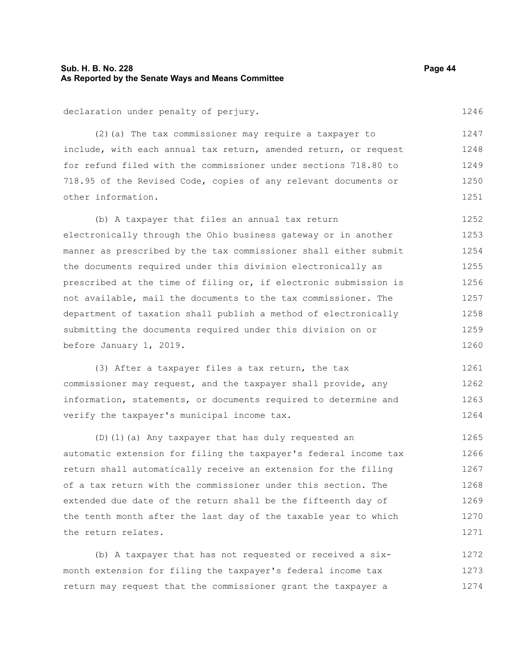#### **Sub. H. B. No. 228 Page 44 As Reported by the Senate Ways and Means Committee**

declaration under penalty of perjury.

(2)(a) The tax commissioner may require a taxpayer to include, with each annual tax return, amended return, or request for refund filed with the commissioner under sections 718.80 to 718.95 of the Revised Code, copies of any relevant documents or other information. 1248 1249 1250 1251

(b) A taxpayer that files an annual tax return electronically through the Ohio business gateway or in another manner as prescribed by the tax commissioner shall either submit the documents required under this division electronically as prescribed at the time of filing or, if electronic submission is not available, mail the documents to the tax commissioner. The department of taxation shall publish a method of electronically submitting the documents required under this division on or before January 1, 2019. 1252 1253 1254 1255 1256 1257 1258 1259 1260

(3) After a taxpayer files a tax return, the tax commissioner may request, and the taxpayer shall provide, any information, statements, or documents required to determine and verify the taxpayer's municipal income tax. 1261 1262 1263 1264

(D)(1)(a) Any taxpayer that has duly requested an automatic extension for filing the taxpayer's federal income tax return shall automatically receive an extension for the filing of a tax return with the commissioner under this section. The extended due date of the return shall be the fifteenth day of the tenth month after the last day of the taxable year to which the return relates. 1265 1266 1267 1268 1269 1270 1271

(b) A taxpayer that has not requested or received a sixmonth extension for filing the taxpayer's federal income tax return may request that the commissioner grant the taxpayer a 1272 1273 1274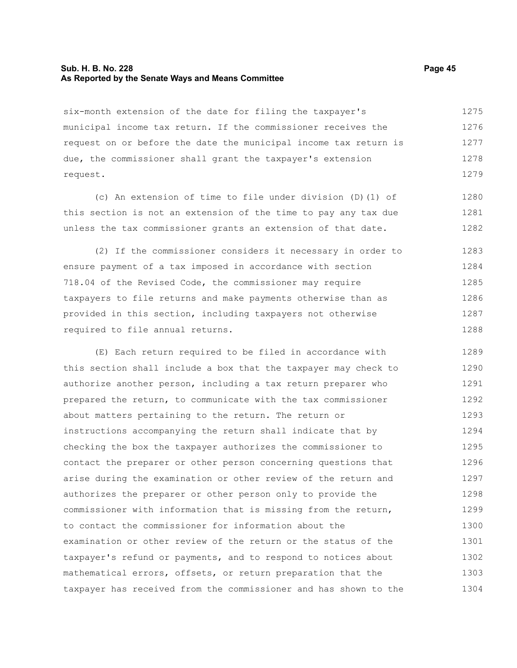#### **Sub. H. B. No. 228 Page 45 As Reported by the Senate Ways and Means Committee**

six-month extension of the date for filing the taxpayer's municipal income tax return. If the commissioner receives the request on or before the date the municipal income tax return is due, the commissioner shall grant the taxpayer's extension request. 1275 1276 1277 1278 1279

(c) An extension of time to file under division (D)(1) of this section is not an extension of the time to pay any tax due unless the tax commissioner grants an extension of that date. 1280 1281 1282

(2) If the commissioner considers it necessary in order to ensure payment of a tax imposed in accordance with section 718.04 of the Revised Code, the commissioner may require taxpayers to file returns and make payments otherwise than as provided in this section, including taxpayers not otherwise required to file annual returns. 1283 1284 1285 1286 1287 1288

(E) Each return required to be filed in accordance with this section shall include a box that the taxpayer may check to authorize another person, including a tax return preparer who prepared the return, to communicate with the tax commissioner about matters pertaining to the return. The return or instructions accompanying the return shall indicate that by checking the box the taxpayer authorizes the commissioner to contact the preparer or other person concerning questions that arise during the examination or other review of the return and authorizes the preparer or other person only to provide the commissioner with information that is missing from the return, to contact the commissioner for information about the examination or other review of the return or the status of the taxpayer's refund or payments, and to respond to notices about mathematical errors, offsets, or return preparation that the taxpayer has received from the commissioner and has shown to the 1289 1290 1291 1292 1293 1294 1295 1296 1297 1298 1299 1300 1301 1302 1303 1304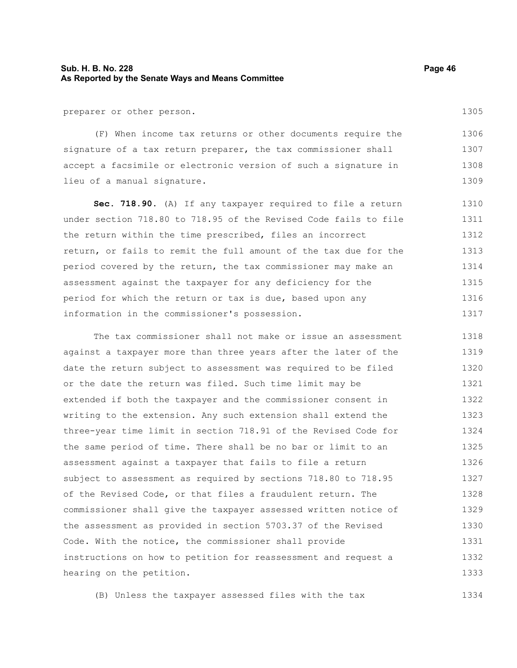#### **Sub. H. B. No. 228 Page 46 As Reported by the Senate Ways and Means Committee**

preparer or other person.

(F) When income tax returns or other documents require the signature of a tax return preparer, the tax commissioner shall accept a facsimile or electronic version of such a signature in lieu of a manual signature. 1306 1307 1308 1309

**Sec. 718.90.** (A) If any taxpayer required to file a return under section 718.80 to 718.95 of the Revised Code fails to file the return within the time prescribed, files an incorrect return, or fails to remit the full amount of the tax due for the period covered by the return, the tax commissioner may make an assessment against the taxpayer for any deficiency for the period for which the return or tax is due, based upon any information in the commissioner's possession. 1310 1311 1312 1313 1314 1315 1316 1317

The tax commissioner shall not make or issue an assessment against a taxpayer more than three years after the later of the date the return subject to assessment was required to be filed or the date the return was filed. Such time limit may be extended if both the taxpayer and the commissioner consent in writing to the extension. Any such extension shall extend the three-year time limit in section 718.91 of the Revised Code for the same period of time. There shall be no bar or limit to an assessment against a taxpayer that fails to file a return subject to assessment as required by sections 718.80 to 718.95 of the Revised Code, or that files a fraudulent return. The commissioner shall give the taxpayer assessed written notice of the assessment as provided in section 5703.37 of the Revised Code. With the notice, the commissioner shall provide instructions on how to petition for reassessment and request a hearing on the petition. 1318 1319 1320 1321 1322 1323 1324 1325 1326 1327 1328 1329 1330 1331 1332 1333

(B) Unless the taxpayer assessed files with the tax 1334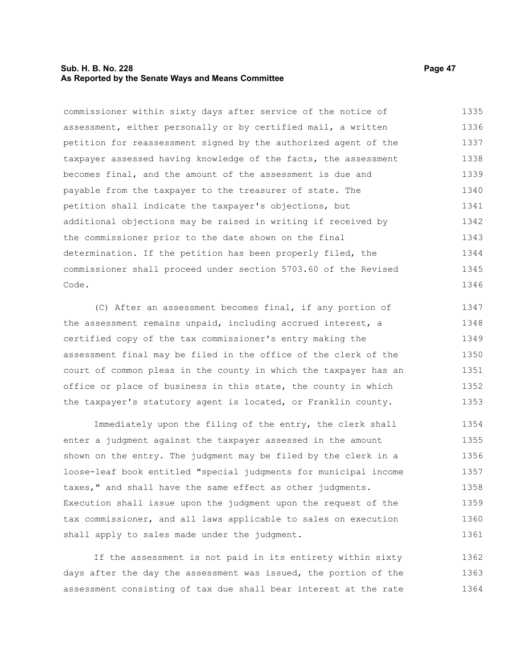#### **Sub. H. B. No. 228 Page 47 As Reported by the Senate Ways and Means Committee**

commissioner within sixty days after service of the notice of assessment, either personally or by certified mail, a written petition for reassessment signed by the authorized agent of the taxpayer assessed having knowledge of the facts, the assessment becomes final, and the amount of the assessment is due and payable from the taxpayer to the treasurer of state. The petition shall indicate the taxpayer's objections, but additional objections may be raised in writing if received by the commissioner prior to the date shown on the final determination. If the petition has been properly filed, the commissioner shall proceed under section 5703.60 of the Revised Code. 1335 1336 1337 1338 1339 1340 1341 1342 1343 1344 1345 1346

(C) After an assessment becomes final, if any portion of the assessment remains unpaid, including accrued interest, a certified copy of the tax commissioner's entry making the assessment final may be filed in the office of the clerk of the court of common pleas in the county in which the taxpayer has an office or place of business in this state, the county in which the taxpayer's statutory agent is located, or Franklin county. 1347 1348 1349 1350 1351 1352 1353

Immediately upon the filing of the entry, the clerk shall enter a judgment against the taxpayer assessed in the amount shown on the entry. The judgment may be filed by the clerk in a loose-leaf book entitled "special judgments for municipal income taxes," and shall have the same effect as other judgments. Execution shall issue upon the judgment upon the request of the tax commissioner, and all laws applicable to sales on execution shall apply to sales made under the judgment. 1354 1355 1356 1357 1358 1359 1360 1361

If the assessment is not paid in its entirety within sixty days after the day the assessment was issued, the portion of the assessment consisting of tax due shall bear interest at the rate 1362 1363 1364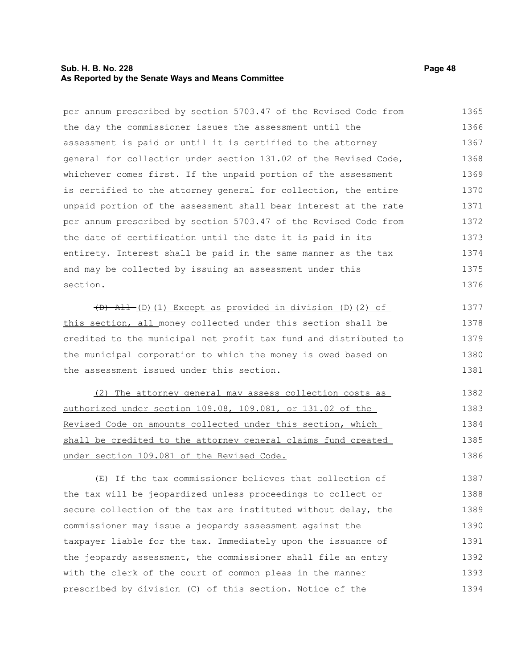#### **Sub. H. B. No. 228 Page 48 As Reported by the Senate Ways and Means Committee**

per annum prescribed by section 5703.47 of the Revised Code from

the day the commissioner issues the assessment until the assessment is paid or until it is certified to the attorney general for collection under section 131.02 of the Revised Code, whichever comes first. If the unpaid portion of the assessment is certified to the attorney general for collection, the entire unpaid portion of the assessment shall bear interest at the rate per annum prescribed by section 5703.47 of the Revised Code from the date of certification until the date it is paid in its entirety. Interest shall be paid in the same manner as the tax and may be collected by issuing an assessment under this section.  $(D)$  All (D)(1) Except as provided in division (D)(2) of this section, all money collected under this section shall be credited to the municipal net profit tax fund and distributed to the municipal corporation to which the money is owed based on the assessment issued under this section. (2) The attorney general may assess collection costs as authorized under section 109.08, 109.081, or 131.02 of the Revised Code on amounts collected under this section, which shall be credited to the attorney general claims fund created under section 109.081 of the Revised Code. (E) If the tax commissioner believes that collection of the tax will be jeopardized unless proceedings to collect or secure collection of the tax are instituted without delay, the commissioner may issue a jeopardy assessment against the 1366 1367 1368 1369 1370 1371 1372 1373 1374 1375 1376 1377 1378 1379 1380 1381 1382 1383 1384 1385 1386 1387 1388 1389 1390

taxpayer liable for the tax. Immediately upon the issuance of the jeopardy assessment, the commissioner shall file an entry with the clerk of the court of common pleas in the manner prescribed by division (C) of this section. Notice of the 1391 1392 1393 1394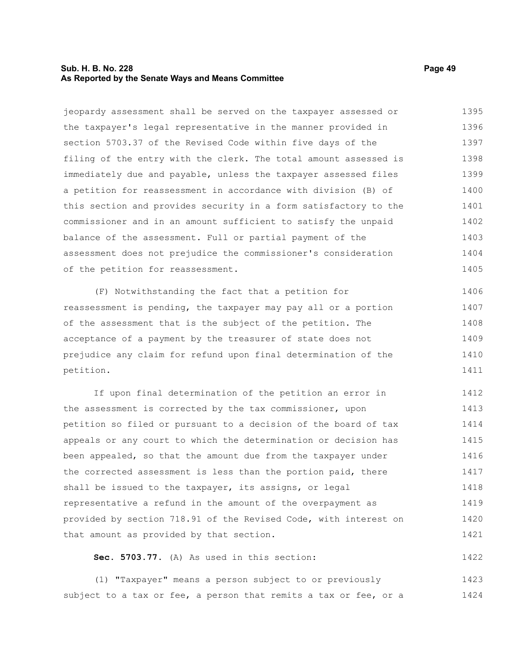#### **Sub. H. B. No. 228 Page 49 As Reported by the Senate Ways and Means Committee**

jeopardy assessment shall be served on the taxpayer assessed or the taxpayer's legal representative in the manner provided in section 5703.37 of the Revised Code within five days of the filing of the entry with the clerk. The total amount assessed is immediately due and payable, unless the taxpayer assessed files a petition for reassessment in accordance with division (B) of this section and provides security in a form satisfactory to the commissioner and in an amount sufficient to satisfy the unpaid balance of the assessment. Full or partial payment of the assessment does not prejudice the commissioner's consideration of the petition for reassessment. 1395 1396 1397 1398 1399 1400 1401 1402 1403 1404 1405

(F) Notwithstanding the fact that a petition for reassessment is pending, the taxpayer may pay all or a portion of the assessment that is the subject of the petition. The acceptance of a payment by the treasurer of state does not prejudice any claim for refund upon final determination of the petition. 1406 1407 1408 1409 1410 1411

If upon final determination of the petition an error in the assessment is corrected by the tax commissioner, upon petition so filed or pursuant to a decision of the board of tax appeals or any court to which the determination or decision has been appealed, so that the amount due from the taxpayer under the corrected assessment is less than the portion paid, there shall be issued to the taxpayer, its assigns, or legal representative a refund in the amount of the overpayment as provided by section 718.91 of the Revised Code, with interest on that amount as provided by that section. 1412 1413 1414 1415 1416 1417 1418 1419 1420 1421

#### **Sec. 5703.77.** (A) As used in this section:

(1) "Taxpayer" means a person subject to or previously subject to a tax or fee, a person that remits a tax or fee, or a 1423 1424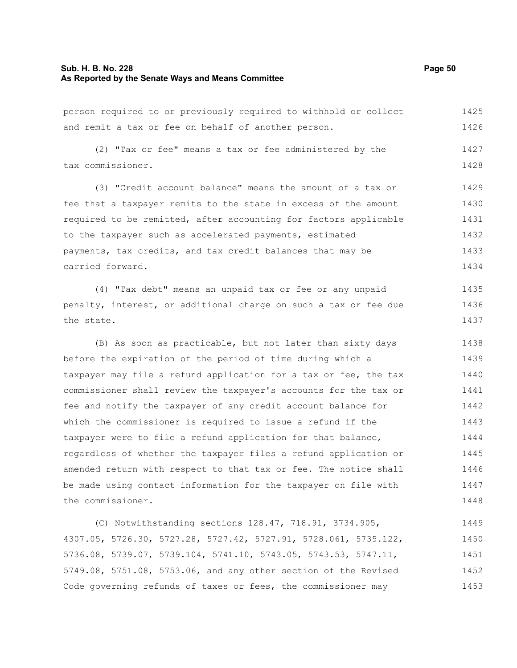#### **Sub. H. B. No. 228 Page 50 As Reported by the Senate Ways and Means Committee**

person required to or previously required to withhold or collect and remit a tax or fee on behalf of another person. 1425 1426

(2) "Tax or fee" means a tax or fee administered by the tax commissioner. 1427 1428

(3) "Credit account balance" means the amount of a tax or fee that a taxpayer remits to the state in excess of the amount required to be remitted, after accounting for factors applicable to the taxpayer such as accelerated payments, estimated payments, tax credits, and tax credit balances that may be carried forward. 1429 1430 1431 1432 1433 1434

(4) "Tax debt" means an unpaid tax or fee or any unpaid penalty, interest, or additional charge on such a tax or fee due the state. 1435 1436 1437

(B) As soon as practicable, but not later than sixty days before the expiration of the period of time during which a taxpayer may file a refund application for a tax or fee, the tax commissioner shall review the taxpayer's accounts for the tax or fee and notify the taxpayer of any credit account balance for which the commissioner is required to issue a refund if the taxpayer were to file a refund application for that balance, regardless of whether the taxpayer files a refund application or amended return with respect to that tax or fee. The notice shall be made using contact information for the taxpayer on file with the commissioner. 1438 1439 1440 1441 1442 1443 1444 1445 1446 1447 1448

(C) Notwithstanding sections 128.47, 718.91, 3734.905, 4307.05, 5726.30, 5727.28, 5727.42, 5727.91, 5728.061, 5735.122, 5736.08, 5739.07, 5739.104, 5741.10, 5743.05, 5743.53, 5747.11, 5749.08, 5751.08, 5753.06, and any other section of the Revised Code governing refunds of taxes or fees, the commissioner may 1449 1450 1451 1452 1453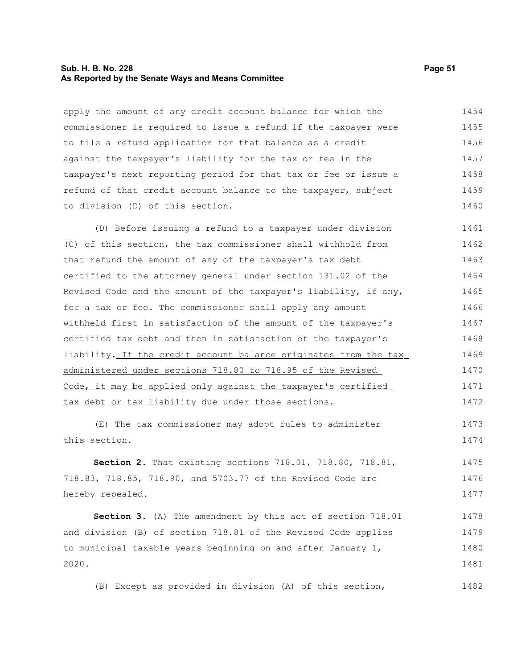#### **Sub. H. B. No. 228 Page 51 As Reported by the Senate Ways and Means Committee**

apply the amount of any credit account balance for which the commissioner is required to issue a refund if the taxpayer were to file a refund application for that balance as a credit against the taxpayer's liability for the tax or fee in the taxpayer's next reporting period for that tax or fee or issue a refund of that credit account balance to the taxpayer, subject to division (D) of this section. 1454 1455 1456 1457 1458 1459 1460

(D) Before issuing a refund to a taxpayer under division (C) of this section, the tax commissioner shall withhold from that refund the amount of any of the taxpayer's tax debt certified to the attorney general under section 131.02 of the Revised Code and the amount of the taxpayer's liability, if any, for a tax or fee. The commissioner shall apply any amount withheld first in satisfaction of the amount of the taxpayer's certified tax debt and then in satisfaction of the taxpayer's liability. If the credit account balance originates from the tax administered under sections 718.80 to 718.95 of the Revised Code, it may be applied only against the taxpayer's certified tax debt or tax liability due under those sections. 1461 1462 1463 1464 1465 1466 1467 1468 1469 1470 1471 1472

(E) The tax commissioner may adopt rules to administer this section. 1473 1474

**Section 2.** That existing sections 718.01, 718.80, 718.81, 718.83, 718.85, 718.90, and 5703.77 of the Revised Code are hereby repealed. 1475 1476 1477

**Section 3.** (A) The amendment by this act of section 718.01 and division (B) of section 718.81 of the Revised Code applies to municipal taxable years beginning on and after January 1, 2020. 1478 1479 1480 1481

(B) Except as provided in division (A) of this section,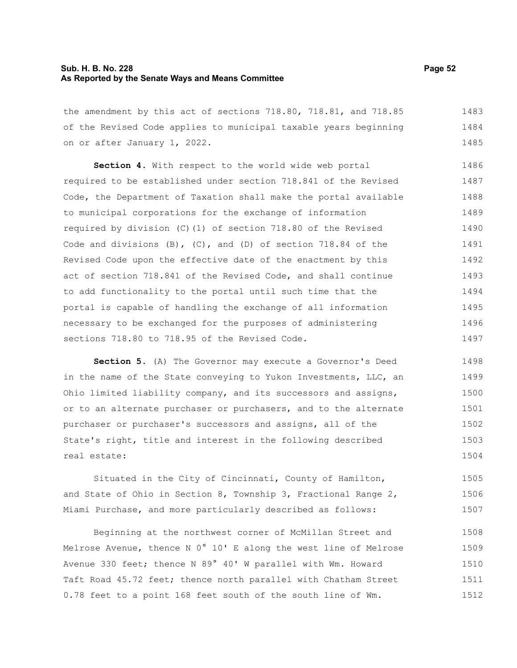#### **Sub. H. B. No. 228 Page 52 As Reported by the Senate Ways and Means Committee**

the amendment by this act of sections 718.80, 718.81, and 718.85 of the Revised Code applies to municipal taxable years beginning on or after January 1, 2022. 1483 1484 1485

**Section 4.** With respect to the world wide web portal required to be established under section 718.841 of the Revised Code, the Department of Taxation shall make the portal available to municipal corporations for the exchange of information required by division (C)(1) of section 718.80 of the Revised Code and divisions  $(B)$ ,  $(C)$ , and  $(D)$  of section 718.84 of the Revised Code upon the effective date of the enactment by this act of section 718.841 of the Revised Code, and shall continue to add functionality to the portal until such time that the portal is capable of handling the exchange of all information necessary to be exchanged for the purposes of administering sections 718.80 to 718.95 of the Revised Code. 1486 1487 1488 1489 1490 1491 1492 1493 1494 1495 1496 1497

**Section 5.** (A) The Governor may execute a Governor's Deed in the name of the State conveying to Yukon Investments, LLC, an Ohio limited liability company, and its successors and assigns, or to an alternate purchaser or purchasers, and to the alternate purchaser or purchaser's successors and assigns, all of the State's right, title and interest in the following described real estate: 1498 1499 1500 1501 1502 1503 1504

Situated in the City of Cincinnati, County of Hamilton, and State of Ohio in Section 8, Township 3, Fractional Range 2, Miami Purchase, and more particularly described as follows: 1505 1506 1507

Beginning at the northwest corner of McMillan Street and Melrose Avenue, thence N 0° 10' E along the west line of Melrose Avenue 330 feet; thence N 89° 40' W parallel with Wm. Howard Taft Road 45.72 feet; thence north parallel with Chatham Street 0.78 feet to a point 168 feet south of the south line of Wm. 1508 1509 1510 1511 1512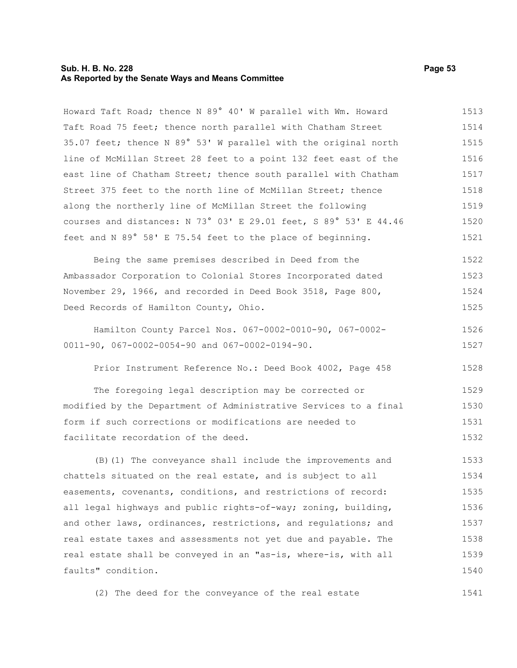#### **Sub. H. B. No. 228 Page 53 As Reported by the Senate Ways and Means Committee**

Howard Taft Road; thence N 89° 40' W parallel with Wm. Howard Taft Road 75 feet; thence north parallel with Chatham Street 35.07 feet; thence N 89° 53' W parallel with the original north line of McMillan Street 28 feet to a point 132 feet east of the east line of Chatham Street; thence south parallel with Chatham Street 375 feet to the north line of McMillan Street; thence along the northerly line of McMillan Street the following courses and distances: N 73° 03' E 29.01 feet, S 89° 53' E 44.46 feet and N 89° 58' E 75.54 feet to the place of beginning. 1513 1514 1515 1516 1517 1518 1519 1520 1521

Being the same premises described in Deed from the Ambassador Corporation to Colonial Stores Incorporated dated November 29, 1966, and recorded in Deed Book 3518, Page 800, Deed Records of Hamilton County, Ohio. 1522 1523 1524 1525

Hamilton County Parcel Nos. 067-0002-0010-90, 067-0002- 0011-90, 067-0002-0054-90 and 067-0002-0194-90. 1526 1527

Prior Instrument Reference No.: Deed Book 4002, Page 458 1528

The foregoing legal description may be corrected or modified by the Department of Administrative Services to a final form if such corrections or modifications are needed to facilitate recordation of the deed. 1529 1530 1531 1532

(B)(1) The conveyance shall include the improvements and chattels situated on the real estate, and is subject to all easements, covenants, conditions, and restrictions of record: all legal highways and public rights-of-way; zoning, building, and other laws, ordinances, restrictions, and regulations; and real estate taxes and assessments not yet due and payable. The real estate shall be conveyed in an "as-is, where-is, with all faults" condition. 1533 1534 1535 1536 1537 1538 1539 1540

(2) The deed for the conveyance of the real estate 1541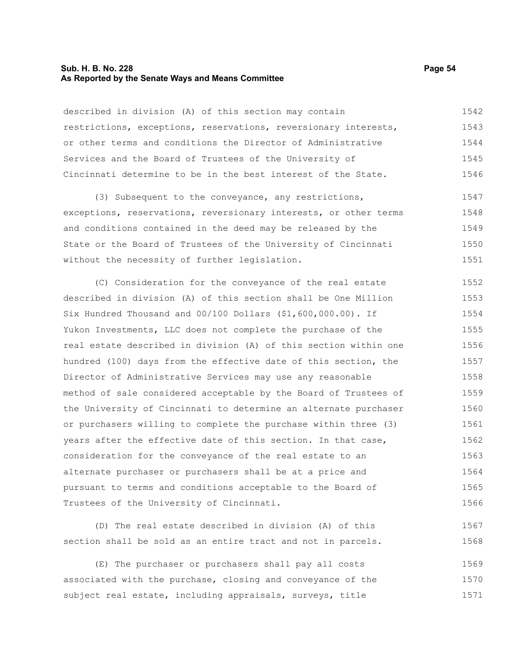#### **Sub. H. B. No. 228 Page 54 As Reported by the Senate Ways and Means Committee**

described in division (A) of this section may contain restrictions, exceptions, reservations, reversionary interests, or other terms and conditions the Director of Administrative Services and the Board of Trustees of the University of Cincinnati determine to be in the best interest of the State. 1542 1543 1544 1545 1546

(3) Subsequent to the conveyance, any restrictions, exceptions, reservations, reversionary interests, or other terms and conditions contained in the deed may be released by the State or the Board of Trustees of the University of Cincinnati without the necessity of further legislation. 1547 1548 1549 1550 1551

(C) Consideration for the conveyance of the real estate described in division (A) of this section shall be One Million Six Hundred Thousand and 00/100 Dollars (\$1,600,000.00). If Yukon Investments, LLC does not complete the purchase of the real estate described in division (A) of this section within one hundred (100) days from the effective date of this section, the Director of Administrative Services may use any reasonable method of sale considered acceptable by the Board of Trustees of the University of Cincinnati to determine an alternate purchaser or purchasers willing to complete the purchase within three (3) years after the effective date of this section. In that case, consideration for the conveyance of the real estate to an alternate purchaser or purchasers shall be at a price and pursuant to terms and conditions acceptable to the Board of Trustees of the University of Cincinnati. 1552 1553 1554 1555 1556 1557 1558 1559 1560 1561 1562 1563 1564 1565 1566

(D) The real estate described in division (A) of this section shall be sold as an entire tract and not in parcels. 1567 1568

(E) The purchaser or purchasers shall pay all costs associated with the purchase, closing and conveyance of the subject real estate, including appraisals, surveys, title 1569 1570 1571